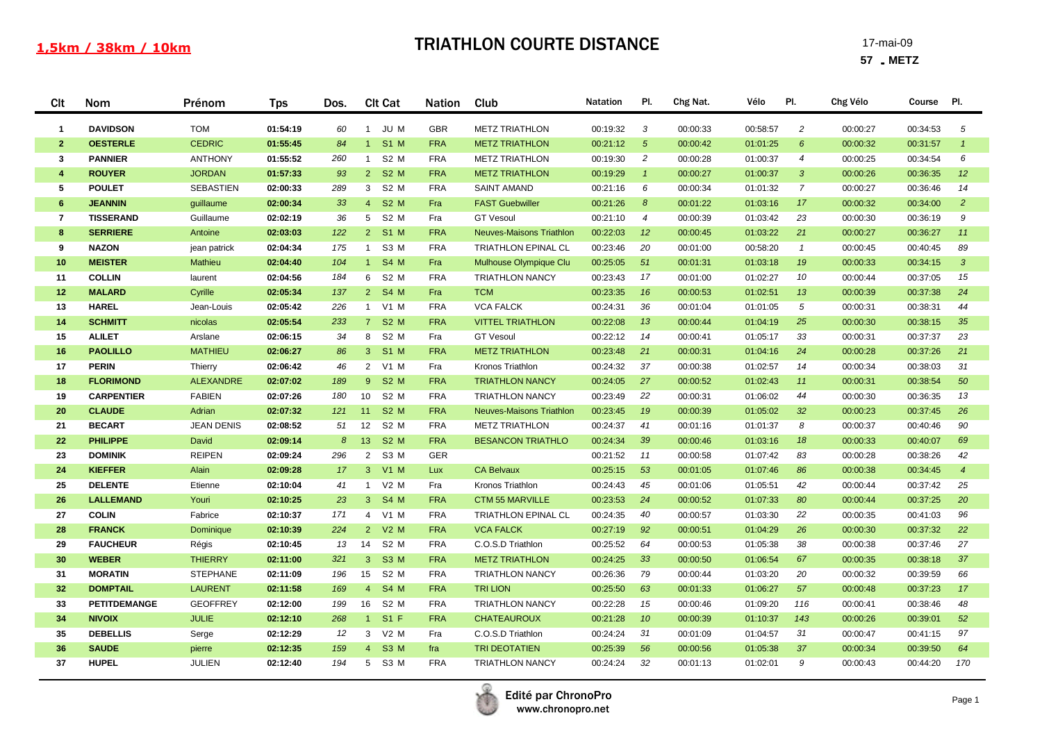| <b>CIt</b>              | Nom                 | Prénom            | <b>Tps</b> | Dos. | <b>Clt Cat</b>                     | <b>Nation</b> | Club                            | <b>Natation</b> | PI.              | Chg Nat. | Vélo     | PI.            | Chg Vélo | Course   | PI.            |
|-------------------------|---------------------|-------------------|------------|------|------------------------------------|---------------|---------------------------------|-----------------|------------------|----------|----------|----------------|----------|----------|----------------|
| $\mathbf{1}$            | <b>DAVIDSON</b>     | <b>TOM</b>        | 01:54:19   | 60   | JU M<br>$\mathbf{1}$               | <b>GBR</b>    | <b>METZ TRIATHLON</b>           | 00:19:32        | 3                | 00:00:33 | 00:58:57 | 2              | 00:00:27 | 00:34:53 | 5              |
| $\overline{2}$          | <b>OESTERLE</b>     | <b>CEDRIC</b>     | 01:55:45   | 84   | <b>S1 M</b><br>$1 -$               | <b>FRA</b>    | <b>METZ TRIATHLON</b>           | 00:21:12        | $5^{\circ}$      | 00:00:42 | 01:01:25 | $6^{\circ}$    | 00:00:32 | 00:31:57 | $\mathbf{1}$   |
| 3                       | <b>PANNIER</b>      | <b>ANTHONY</b>    | 01:55:52   | 260  | S <sub>2</sub> M<br>$\mathbf{1}$   | <b>FRA</b>    | <b>METZ TRIATHLON</b>           | 00:19:30        | $\overline{c}$   | 00:00:28 | 01:00:37 | $\overline{4}$ | 00:00:25 | 00:34:54 | 6              |
| $\overline{\mathbf{4}}$ | <b>ROUYER</b>       | <b>JORDAN</b>     | 01:57:33   | 93   | <b>S2 M</b><br>$2 -$               | <b>FRA</b>    | <b>METZ TRIATHLON</b>           | 00:19:29        | $\overline{1}$   | 00:00:27 | 01:00:37 | $\mathbf{3}$   | 00:00:26 | 00:36:35 | 12             |
| 5                       | <b>POULET</b>       | <b>SEBASTIEN</b>  | 02:00:33   | 289  | S <sub>2</sub> M<br>3              | <b>FRA</b>    | <b>SAINT AMAND</b>              | 00:21:16        | 6                | 00:00:34 | 01:01:32 | $\overline{7}$ | 00:00:27 | 00:36:46 | 14             |
| 6                       | <b>JEANNIN</b>      | guillaume         | 02:00:34   | 33   | <b>S2 M</b><br>4                   | Fra           | <b>FAST Guebwiller</b>          | 00:21:26        | $\boldsymbol{8}$ | 00:01:22 | 01:03:16 | 17             | 00:00:32 | 00:34:00 | $\overline{2}$ |
| $\overline{7}$          | <b>TISSERAND</b>    | Guillaume         | 02:02:19   | 36   | 5 <sup>5</sup><br>S <sub>2</sub> M | Fra           | <b>GT Vesoul</b>                | 00:21:10        | $\overline{4}$   | 00:00:39 | 01:03:42 | 23             | 00:00:30 | 00:36:19 | 9              |
| 8                       | <b>SERRIERE</b>     | Antoine           | 02:03:03   | 122  | <b>S1 M</b><br>$2^{\circ}$         | <b>FRA</b>    | <b>Neuves-Maisons Triathlon</b> | 00:22:03        | 12               | 00:00:45 | 01:03:22 | 21             | 00:00:27 | 00:36:27 | 11             |
| 9                       | <b>NAZON</b>        | jean patrick      | 02:04:34   | 175  | S <sub>3</sub> M<br>$\mathbf{1}$   | <b>FRA</b>    | <b>TRIATHLON EPINAL CL</b>      | 00:23:46        | 20               | 00:01:00 | 00:58:20 | $\mathcal{I}$  | 00:00:45 | 00:40:45 | 89             |
| 10                      | <b>MEISTER</b>      | <b>Mathieu</b>    | 02:04:40   | 104  | <b>S4 M</b><br>1 <sup>1</sup>      | Fra           | Mulhouse Olympique Clu          | 00:25:05        | 51               | 00:01:31 | 01:03:18 | 19             | 00:00:33 | 00:34:15 | $\mathbf{3}$   |
| 11                      | <b>COLLIN</b>       | laurent           | 02:04:56   | 184  | S <sub>2</sub> M<br>6              | <b>FRA</b>    | <b>TRIATHLON NANCY</b>          | 00:23:43        | 17               | 00:01:00 | 01:02:27 | 10             | 00:00:44 | 00:37:05 | 15             |
| 12                      | <b>MALARD</b>       | Cyrille           | 02:05:34   | 137  | $2$ S4 M                           | Fra           | <b>TCM</b>                      | 00:23:35        | 16               | 00:00:53 | 01:02:51 | 13             | 00:00:39 | 00:37:38 | 24             |
| 13                      | <b>HAREL</b>        | Jean-Louis        | 02:05:42   | 226  | 1 V1 M                             | <b>FRA</b>    | <b>VCA FALCK</b>                | 00:24:31        | 36               | 00:01:04 | 01:01:05 | $\sqrt{5}$     | 00:00:31 | 00:38:31 | 44             |
| 14                      | <b>SCHMITT</b>      | nicolas           | 02:05:54   | 233  | 7 S2 M                             | <b>FRA</b>    | <b>VITTEL TRIATHLON</b>         | 00:22:08        | 13               | 00:00:44 | 01:04:19 | 25             | 00:00:30 | 00:38:15 | 35             |
| 15                      | <b>ALILET</b>       | Arslane           | 02:06:15   | 34   | 8 S2 M                             | Fra           | <b>GT Vesoul</b>                | 00:22:12        | 14               | 00:00:41 | 01:05:17 | 33             | 00:00:31 | 00:37:37 | 23             |
| 16                      | <b>PAOLILLO</b>     | <b>MATHIEU</b>    | 02:06:27   | 86   | 3 S1 M                             | <b>FRA</b>    | <b>METZ TRIATHLON</b>           | 00:23:48        | 21               | 00:00:31 | 01:04:16 | 24             | 00:00:28 | 00:37:26 | 21             |
| 17                      | <b>PERIN</b>        | Thierry           | 02:06:42   | 46   | 2 V1 M                             | Fra           | Kronos Triathlon                | 00:24:32        | 37               | 00:00:38 | 01:02:57 | 14             | 00:00:34 | 00:38:03 | 31             |
| 18                      | <b>FLORIMOND</b>    | <b>ALEXANDRE</b>  | 02:07:02   | 189  | <b>S2 M</b><br>$9^{\circ}$         | <b>FRA</b>    | <b>TRIATHLON NANCY</b>          | 00:24:05        | 27               | 00:00:52 | 01:02:43 | 11             | 00:00:31 | 00:38:54 | 50             |
| 19                      | <b>CARPENTIER</b>   | <b>FABIEN</b>     | 02:07:26   | 180  | 10<br>S <sub>2</sub> M             | <b>FRA</b>    | <b>TRIATHLON NANCY</b>          | 00:23:49        | 22               | 00:00:31 | 01:06:02 | 44             | 00:00:30 | 00:36:35 | 13             |
| 20                      | <b>CLAUDE</b>       | Adrian            | 02:07:32   | 121  | <b>S2 M</b><br>11                  | <b>FRA</b>    | <b>Neuves-Maisons Triathlon</b> | 00:23:45        | 19               | 00:00:39 | 01:05:02 | 32             | 00:00:23 | 00:37:45 | 26             |
| 21                      | <b>BECART</b>       | <b>JEAN DENIS</b> | 02:08:52   | 51   | 12<br>S <sub>2</sub> M             | <b>FRA</b>    | <b>METZ TRIATHLON</b>           | 00:24:37        | 41               | 00:01:16 | 01:01:37 | 8              | 00:00:37 | 00:40:46 | 90             |
| 22                      | <b>PHILIPPE</b>     | David             | 02:09:14   | 8    | <b>S2 M</b><br>13 <sup>°</sup>     | <b>FRA</b>    | <b>BESANCON TRIATHLO</b>        | 00:24:34        | 39               | 00:00:46 | 01:03:16 | 18             | 00:00:33 | 00:40:07 | 69             |
| 23                      | <b>DOMINIK</b>      | <b>REIPEN</b>     | 02:09:24   | 296  | S <sub>3</sub> M<br>$\overline{2}$ | <b>GER</b>    |                                 | 00:21:52        | 11               | 00:00:58 | 01:07:42 | 83             | 00:00:28 | 00:38:26 | 42             |
| 24                      | <b>KIEFFER</b>      | Alain             | 02:09:28   | 17   | 3 <sup>7</sup><br>$V1$ M           | <b>Lux</b>    | <b>CA Belvaux</b>               | 00:25:15        | 53               | 00:01:05 | 01:07:46 | 86             | 00:00:38 | 00:34:45 | $\overline{4}$ |
| 25                      | <b>DELENTE</b>      | Etienne           | 02:10:04   | 41   | $V2$ M<br>$\overline{1}$           | Fra           | Kronos Triathlon                | 00:24:43        | 45               | 00:01:06 | 01:05:51 | 42             | 00:00:44 | 00:37:42 | 25             |
| 26                      | <b>LALLEMAND</b>    | Youri             | 02:10:25   | 23   | $3 -$<br>S4 M                      | <b>FRA</b>    | <b>CTM 55 MARVILLE</b>          | 00:23:53        | 24               | 00:00:52 | 01:07:33 | 80             | 00:00:44 | 00:37:25 | 20             |
| 27                      | <b>COLIN</b>        | Fabrice           | 02:10:37   | 171  | 4 V1 M                             | <b>FRA</b>    | <b>TRIATHLON EPINAL CL</b>      | 00:24:35        | 40               | 00:00:57 | 01:03:30 | 22             | 00:00:35 | 00:41:03 | 96             |
| 28                      | <b>FRANCK</b>       | Dominique         | 02:10:39   | 224  | $V2$ M<br>$2^{\circ}$              | <b>FRA</b>    | <b>VCA FALCK</b>                | 00:27:19        | 92               | 00:00:51 | 01:04:29 | 26             | 00:00:30 | 00:37:32 | 22             |
| 29                      | <b>FAUCHEUR</b>     | Régis             | 02:10:45   | 13   | S <sub>2</sub> M<br>14             | <b>FRA</b>    | C.O.S.D Triathlon               | 00:25:52        | 64               | 00:00:53 | 01:05:38 | 38             | 00:00:38 | 00:37:46 | 27             |
| 30                      | <b>WEBER</b>        | <b>THIERRY</b>    | 02:11:00   | 321  | <b>S3 M</b><br>3                   | <b>FRA</b>    | <b>METZ TRIATHLON</b>           | 00:24:25        | 33               | 00:00:50 | 01:06:54 | 67             | 00:00:35 | 00:38:18 | 37             |
| 31                      | <b>MORATIN</b>      | <b>STEPHANE</b>   | 02:11:09   | 196  | S <sub>2</sub> M<br>15             | <b>FRA</b>    | <b>TRIATHLON NANCY</b>          | 00:26:36        | 79               | 00:00:44 | 01:03:20 | 20             | 00:00:32 | 00:39:59 | 66             |
| 32                      | <b>DOMPTAIL</b>     | <b>LAURENT</b>    | 02:11:58   | 169  | <b>S4 M</b><br>4 <sup>1</sup>      | <b>FRA</b>    | <b>TRI LION</b>                 | 00:25:50        | 63               | 00:01:33 | 01:06:27 | 57             | 00:00:48 | 00:37:23 | 17             |
| 33                      | <b>PETITDEMANGE</b> | <b>GEOFFREY</b>   | 02:12:00   | 199  | 16<br>S <sub>2</sub> M             | <b>FRA</b>    | <b>TRIATHLON NANCY</b>          | 00:22:28        | 15               | 00:00:46 | 01:09:20 | 116            | 00:00:41 | 00:38:46 | 48             |
| 34                      | <b>NIVOIX</b>       | <b>JULIE</b>      | 02:12:10   | 268  | $S1$ F<br>1                        | <b>FRA</b>    | <b>CHATEAUROUX</b>              | 00:21:28        | 10               | 00:00:39 | 01:10:37 | 143            | 00:00:26 | 00:39:01 | 52             |
| 35                      | <b>DEBELLIS</b>     | Serge             | 02:12:29   | 12   | 3 V2 M                             | Fra           | C.O.S.D Triathlon               | 00:24:24        | 31               | 00:01:09 | 01:04:57 | 31             | 00:00:47 | 00:41:15 | 97             |
| 36                      | <b>SAUDE</b>        | pierre            | 02:12:35   | 159  | S <sub>3</sub> M<br>4              | fra           | <b>TRI DEOTATIEN</b>            | 00:25:39        | 56               | 00:00:56 | 01:05:38 | 37             | 00:00:34 | 00:39:50 | 64             |
| 37                      | <b>HUPEL</b>        | JULIEN            | 02:12:40   | 194  | 5 <sup>5</sup><br>S <sub>3</sub> M | <b>FRA</b>    | <b>TRIATHLON NANCY</b>          | 00:24:24        | 32               | 00:01:13 | 01:02:01 | 9              | 00:00:43 | 00:44:20 | 170            |

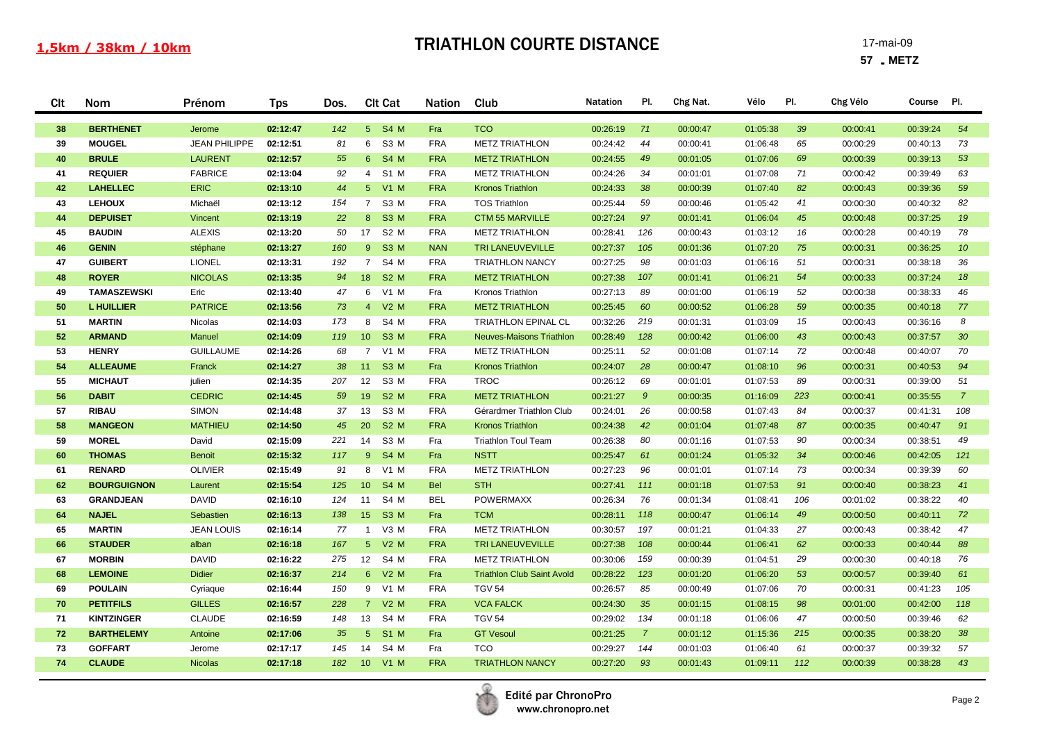#### 1,5km / 38km / 10km

## **TRIATHLON COURTE DISTANCE** 17-mai-09

| Clt | Nom                | Prénom               | <b>Tps</b> | Dos. | <b>CIt Cat</b>                      | <b>Nation</b> | Club                              | <b>Natation</b> | PI.            | Chg Nat. | Vélo     | PI. | Chg Vélo | Course   | PI.             |
|-----|--------------------|----------------------|------------|------|-------------------------------------|---------------|-----------------------------------|-----------------|----------------|----------|----------|-----|----------|----------|-----------------|
| 38  | <b>BERTHENET</b>   | Jerome               | 02:12:47   | 142  | 5 S4 M                              | Fra           | <b>TCO</b>                        | 00:26:19        | 71             | 00:00:47 | 01:05:38 | 39  | 00:00:41 | 00:39:24 | 54              |
| 39  | <b>MOUGEL</b>      | <b>JEAN PHILIPPE</b> | 02:12:51   | 81   | 6 S3 M                              | <b>FRA</b>    | <b>METZ TRIATHLON</b>             | 00:24:42        | 44             | 00:00:41 | 01:06:48 | 65  | 00:00:29 | 00:40:13 | 73              |
| 40  | <b>BRULE</b>       | <b>LAURENT</b>       | 02:12:57   | 55   | S4 M<br>$6^{\circ}$                 | <b>FRA</b>    | <b>METZ TRIATHLON</b>             | 00:24:55        | 49             | 00:01:05 | 01:07:06 | 69  | 00:00:39 | 00:39:13 | 53              |
| 41  | <b>REQUIER</b>     | <b>FABRICE</b>       | 02:13:04   | 92   | S1 M<br>4                           | <b>FRA</b>    | <b>METZ TRIATHLON</b>             | 00:24:26        | 34             | 00:01:01 | 01:07:08 | 71  | 00:00:42 | 00:39:49 | 63              |
| 42  | <b>LAHELLEC</b>    | <b>ERIC</b>          | 02:13:10   | 44   | 5 <sup>5</sup><br><b>V1 M</b>       | <b>FRA</b>    | <b>Kronos Triathlon</b>           | 00:24:33        | 38             | 00:00:39 | 01:07:40 | 82  | 00:00:43 | 00:39:36 | 59              |
| 43  | <b>LEHOUX</b>      | Michaël              | 02:13:12   | 154  | S <sub>3</sub> M<br>$\overline{7}$  | <b>FRA</b>    | <b>TOS Triathlon</b>              | 00:25:44        | 59             | 00:00:46 | 01:05:42 | 41  | 00:00:30 | 00:40:32 | 82              |
| 44  | <b>DEPUISET</b>    | Vincent              | 02:13:19   | 22   | <b>S3 M</b><br>8 <sup>°</sup>       | <b>FRA</b>    | <b>CTM 55 MARVILLE</b>            | 00:27:24        | 97             | 00:01:41 | 01:06:04 | 45  | 00:00:48 | 00:37:25 | 19              |
| 45  | <b>BAUDIN</b>      | <b>ALEXIS</b>        | 02:13:20   | 50   | 17<br>S2 M                          | <b>FRA</b>    | <b>METZ TRIATHLON</b>             | 00:28:41        | 126            | 00:00:43 | 01:03:12 | 16  | 00:00:28 | 00:40:19 | 78              |
| 46  | <b>GENIN</b>       | stéphane             | 02:13:27   | 160  | <b>S3 M</b><br>$9^{\circ}$          | <b>NAN</b>    | <b>TRI LANEUVEVILLE</b>           | 00:27:37        | 105            | 00:01:36 | 01:07:20 | 75  | 00:00:31 | 00:36:25 | 10 <sup>°</sup> |
| 47  | <b>GUIBERT</b>     | <b>LIONEL</b>        | 02:13:31   | 192  | $\overline{7}$<br>S4 M              | <b>FRA</b>    | <b>TRIATHLON NANCY</b>            | 00:27:25        | 98             | 00:01:03 | 01:06:16 | 51  | 00:00:31 | 00:38:18 | 36              |
| 48  | <b>ROYER</b>       | <b>NICOLAS</b>       | 02:13:35   | 94   | 18<br><b>S2 M</b>                   | <b>FRA</b>    | <b>METZ TRIATHLON</b>             | 00:27:38        | 107            | 00:01:41 | 01:06:21 | 54  | 00:00:33 | 00:37:24 | 18              |
| 49  | TAMASZEWSKI        | Eric                 | 02:13:40   | 47   | 6 V1 M                              | Fra           | Kronos Triathlon                  | 00:27:13        | 89             | 00:01:00 | 01:06:19 | 52  | 00:00:38 | 00:38:33 | 46              |
| 50  | <b>L HUILLIER</b>  | <b>PATRICE</b>       | 02:13:56   | 73   | 4 V2 M                              | <b>FRA</b>    | <b>METZ TRIATHLON</b>             | 00:25:45        | 60             | 00:00:52 | 01:06:28 | 59  | 00:00:35 | 00:40:18 | 77              |
| 51  | <b>MARTIN</b>      | Nicolas              | 02:14:03   | 173  | 8<br>S4 M                           | <b>FRA</b>    | <b>TRIATHLON EPINAL CL</b>        | 00:32:26        | 219            | 00:01:31 | 01:03:09 | 15  | 00:00:43 | 00:36:16 | 8               |
| 52  | <b>ARMAND</b>      | Manuel               | 02:14:09   | 119  | S <sub>3</sub> M<br>10 <sup>°</sup> | <b>FRA</b>    | <b>Neuves-Maisons Triathlon</b>   | 00:28:49        | 128            | 00:00:42 | 01:06:00 | 43  | 00:00:43 | 00:37:57 | 30 <sup>°</sup> |
| 53  | <b>HENRY</b>       | <b>GUILLAUME</b>     | 02:14:26   | 68   | $\overline{7}$<br>V1 M              | <b>FRA</b>    | <b>METZ TRIATHLON</b>             | 00:25:11        | 52             | 00:01:08 | 01:07:14 | 72  | 00:00:48 | 00:40:07 | 70              |
| 54  | <b>ALLEAUME</b>    | Franck               | 02:14:27   | 38   | <b>S3 M</b><br>11                   | Fra           | <b>Kronos Triathlon</b>           | 00:24:07        | 28             | 00:00:47 | 01:08:10 | 96  | 00:00:31 | 00:40:53 | 94              |
| 55  | <b>MICHAUT</b>     | julien               | 02:14:35   | 207  | 12<br>S3 M                          | <b>FRA</b>    | <b>TROC</b>                       | 00:26:12        | 69             | 00:01:01 | 01:07:53 | 89  | 00:00:31 | 00:39:00 | 51              |
| 56  | <b>DABIT</b>       | <b>CEDRIC</b>        | 02:14:45   | 59   | <b>S2 M</b><br>19                   | <b>FRA</b>    | <b>METZ TRIATHLON</b>             | 00:21:27        | $\overline{9}$ | 00:00:35 | 01:16:09 | 223 | 00:00:41 | 00:35:55 | $\overline{7}$  |
| 57  | <b>RIBAU</b>       | <b>SIMON</b>         | 02:14:48   | 37   | 13<br>S3 M                          | <b>FRA</b>    | Gérardmer Triathlon Club          | 00:24:01        | 26             | 00:00:58 | 01:07:43 | 84  | 00:00:37 | 00:41:31 | 108             |
| 58  | <b>MANGEON</b>     | <b>MATHIEU</b>       | 02:14:50   | 45   | 20<br>S <sub>2</sub> M              | <b>FRA</b>    | <b>Kronos Triathlon</b>           | 00:24:38        | 42             | 00:01:04 | 01:07:48 | 87  | 00:00:35 | 00:40:47 | 91              |
| 59  | <b>MOREL</b>       | David                | 02:15:09   | 221  | S3 M<br>14                          | Fra           | <b>Triathlon Toul Team</b>        | 00:26:38        | 80             | 00:01:16 | 01:07:53 | 90  | 00:00:34 | 00:38:51 | 49              |
| 60  | <b>THOMAS</b>      | <b>Benoit</b>        | 02:15:32   | 117  | $9^{\circ}$<br>S4 M                 | Fra           | <b>NSTT</b>                       | 00:25:47        | 61             | 00:01:24 | 01:05:32 | 34  | 00:00:46 | 00:42:05 | 121             |
| 61  | <b>RENARD</b>      | <b>OLIVIER</b>       | 02:15:49   | 91   | 8<br>V1 M                           | <b>FRA</b>    | <b>METZ TRIATHLON</b>             | 00:27:23        | 96             | 00:01:01 | 01:07:14 | 73  | 00:00:34 | 00:39:39 | 60              |
| 62  | <b>BOURGUIGNON</b> | Laurent              | 02:15:54   | 125  | <b>S4 M</b><br>10 <sup>°</sup>      | <b>Bel</b>    | <b>STH</b>                        | 00:27:41        | 111            | 00:01:18 | 01:07:53 | 91  | 00:00:40 | 00:38:23 | 41              |
| 63  | <b>GRANDJEAN</b>   | <b>DAVID</b>         | 02:16:10   | 124  | S4 M<br>11                          | <b>BEL</b>    | <b>POWERMAXX</b>                  | 00:26:34        | 76             | 00:01:34 | 01:08:41 | 106 | 00:01:02 | 00:38:22 | 40              |
| 64  | <b>NAJEL</b>       | Sebastien            | 02:16:13   | 138  | S <sub>3</sub> M<br>15 <sub>2</sub> | Fra           | <b>TCM</b>                        | 00:28:11        | 118            | 00:00:47 | 01:06:14 | 49  | 00:00:50 | 00:40:11 | 72              |
| 65  | <b>MARTIN</b>      | <b>JEAN LOUIS</b>    | 02:16:14   | 77   | V3 M<br>$\overline{1}$              | <b>FRA</b>    | <b>METZ TRIATHLON</b>             | 00:30:57        | 197            | 00:01:21 | 01:04:33 | 27  | 00:00:43 | 00:38:42 | 47              |
| 66  | <b>STAUDER</b>     | alban                | 02:16:18   | 167  | 5 <sup>5</sup><br>$V2$ M            | <b>FRA</b>    | <b>TRI LANEUVEVILLE</b>           | 00:27:38        | 108            | 00:00:44 | 01:06:41 | 62  | 00:00:33 | 00:40:44 | 88              |
| 67  | <b>MORBIN</b>      | <b>DAVID</b>         | 02:16:22   | 275  | 12<br>S4 M                          | <b>FRA</b>    | <b>METZ TRIATHLON</b>             | 00:30:06        | 159            | 00:00:39 | 01:04:51 | 29  | 00:00:30 | 00:40:18 | 76              |
| 68  | <b>LEMOINE</b>     | <b>Didier</b>        | 02:16:37   | 214  | 6 V2 M                              | Fra           | <b>Triathlon Club Saint Avold</b> | 00:28:22        | 123            | 00:01:20 | 01:06:20 | 53  | 00:00:57 | 00:39:40 | 61              |
| 69  | <b>POULAIN</b>     | Cyriaque             | 02:16:44   | 150  | $V1$ M<br>9                         | <b>FRA</b>    | <b>TGV 54</b>                     | 00:26:57        | 85             | 00:00:49 | 01:07:06 | 70  | 00:00:31 | 00:41:23 | 105             |
| 70  | <b>PETITFILS</b>   | <b>GILLES</b>        | 02:16:57   | 228  | 7 V2 M                              | <b>FRA</b>    | <b>VCA FALCK</b>                  | 00:24:30        | 35             | 00:01:15 | 01:08:15 | 98  | 00:01:00 | 00:42:00 | 118             |
| 71  | <b>KINTZINGER</b>  | <b>CLAUDE</b>        | 02:16:59   | 148  | 13<br>S4 M                          | <b>FRA</b>    | <b>TGV 54</b>                     | 00:29:02        | 134            | 00:01:18 | 01:06:06 | 47  | 00:00:50 | 00:39:46 | 62              |
| 72  | <b>BARTHELEMY</b>  | Antoine              | 02:17:06   | 35   | 5 <sup>5</sup><br><b>S1 M</b>       | Fra           | <b>GT Vesoul</b>                  | 00:21:25        | $\overline{7}$ | 00:01:12 | 01:15:36 | 215 | 00:00:35 | 00:38:20 | 38              |
| 73  | <b>GOFFART</b>     | Jerome               | 02:17:17   | 145  | S4 M<br>14                          | Fra           | <b>TCO</b>                        | 00:29:27        | 144            | 00:01:03 | 01:06:40 | 61  | 00:00:37 | 00:39:32 | 57              |
| 74  | <b>CLAUDE</b>      | <b>Nicolas</b>       | 02:17:18   | 182  | 10 V1 M                             | <b>FRA</b>    | <b>TRIATHLON NANCY</b>            | 00:27:20        | 93             | 00:01:43 | 01:09:11 | 112 | 00:00:39 | 00:38:28 | 43              |

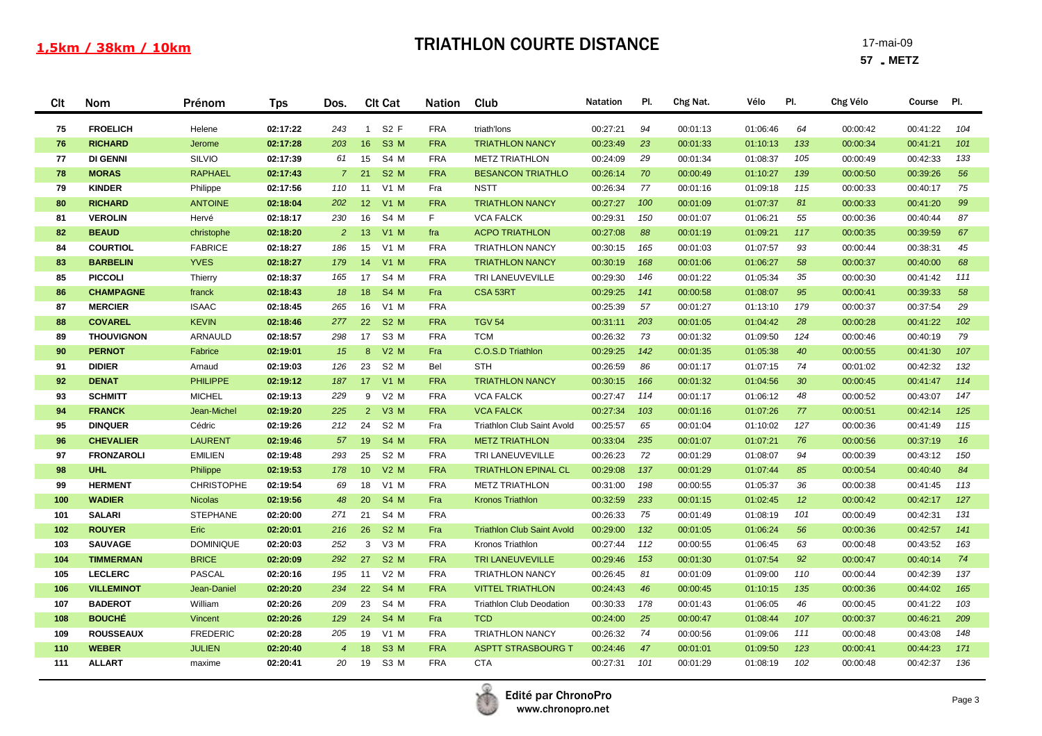| Clt        | Nom                                | Prénom                           | <b>Tps</b>           | Dos.           | <b>Clt Cat</b>                   | <b>Nation</b>            | Club                                       | <b>Natation</b>      | PI.       | Chg Nat.             | Vélo                 | PI.             | Chg Vélo             | Course               | PI.       |
|------------|------------------------------------|----------------------------------|----------------------|----------------|----------------------------------|--------------------------|--------------------------------------------|----------------------|-----------|----------------------|----------------------|-----------------|----------------------|----------------------|-----------|
| 75         | <b>FROELICH</b>                    | Helene                           | 02:17:22             | 243            | S <sub>2</sub> F<br>$\mathbf{1}$ | <b>FRA</b>               | triath'lons                                | 00:27:21             | 94        | 00:01:13             | 01:06:46             | 64              | 00:00:42             | 00:41:22             | 104       |
| 76         | <b>RICHARD</b>                     | Jerome                           | 02:17:28             | 203            | S3 M<br>16                       | <b>FRA</b>               | <b>TRIATHLON NANCY</b>                     | 00:23:49             | 23        | 00:01:33             | 01:10:13             | 133             | 00:00:34             | 00:41:21             | 101       |
| 77         | <b>DI GENNI</b>                    | SILVIO                           | 02:17:39             | 61             | 15<br>S4 M                       | <b>FRA</b>               | <b>METZ TRIATHLON</b>                      | 00:24:09             | 29        | 00:01:34             | 01:08:37             | 105             | 00:00:49             | 00:42:33             | 133       |
| 78         | <b>MORAS</b>                       | <b>RAPHAEL</b>                   | 02:17:43             | $\overline{7}$ | <b>S2 M</b><br>21                | <b>FRA</b>               | <b>BESANCON TRIATHLO</b>                   | 00:26:14             | 70        | 00:00:49             | 01:10:27             | 139             | 00:00:50             | 00:39:26             | 56        |
| 79         | <b>KINDER</b>                      | Philippe                         | 02:17:56             | 110            | $V1$ M<br>11                     | Fra                      | <b>NSTT</b>                                | 00:26:34             | 77        | 00:01:16             | 01:09:18             | 115             | 00:00:33             | 00:40:17             | 75        |
| 80         | <b>RICHARD</b>                     | <b>ANTOINE</b>                   | 02:18:04             | 202            | 12<br>$V1$ M                     | <b>FRA</b>               | <b>TRIATHLON NANCY</b>                     | 00:27:27             | 100       | 00:01:09             | 01:07:37             | 81              | 00:00:33             | 00:41:20             | 99        |
| 81         | <b>VEROLIN</b>                     | Hervé                            | 02:18:17             | 230            | 16<br>S4 M                       | F.                       | <b>VCA FALCK</b>                           | 00:29:31             | 150       | 00:01:07             | 01:06:21             | 55              | 00:00:36             | 00:40:44             | 87        |
| 82         | <b>BEAUD</b>                       | christophe                       | 02:18:20             | $\overline{2}$ | 13<br>$V1$ M                     | fra                      | <b>ACPO TRIATHLON</b>                      | 00:27:08             | 88        | 00:01:19             | 01:09:21             | 117             | 00:00:35             | 00:39:59             | 67        |
| 84         | <b>COURTIOL</b>                    | <b>FABRICE</b>                   | 02:18:27             | 186            | 15<br>$V1$ M                     | <b>FRA</b>               | <b>TRIATHLON NANCY</b>                     | 00:30:15             | 165       | 00:01:03             | 01:07:57             | 93              | 00:00:44             | 00:38:31             | 45        |
| 83         | <b>BARBELIN</b>                    | <b>YVES</b>                      | 02:18:27             | 179            | 14<br>$V1$ M                     | <b>FRA</b>               | <b>TRIATHLON NANCY</b>                     | 00:30:19             | 168       | 00:01:06             | 01:06:27             | 58              | 00:00:37             | 00:40:00             | 68        |
| 85         | <b>PICCOLI</b>                     | Thierry                          | 02:18:37             | 165            | S4 M<br>17                       | <b>FRA</b>               | TRI LANEUVEVILLE                           | 00:29:30             | 146       | 00:01:22             | 01:05:34             | 35              | 00:00:30             | 00:41:42             | 111       |
| 86         | <b>CHAMPAGNE</b>                   | franck                           | 02:18:43             | 18             | 18<br>S4 M                       | Fra                      | CSA 53RT                                   | 00:29:25             | 141       | 00:00:58             | 01:08:07             | 95              | 00:00:41             | 00:39:33             | 58        |
| 87         | <b>MERCIER</b>                     | <b>ISAAC</b>                     | 02:18:45             | 265            | 16 V1 M                          | <b>FRA</b>               |                                            | 00:25:39             | 57        | 00:01:27             | 01:13:10             | 179             | 00:00:37             | 00:37:54             | 29        |
| 88         | <b>COVAREL</b>                     | <b>KEVIN</b>                     | 02:18:46             | 277            | 22<br><b>S2 M</b>                | <b>FRA</b>               | <b>TGV 54</b>                              | 00:31:11             | 203       | 00:01:05             | 01:04:42             | 28              | 00:00:28             | 00:41:22             | 102       |
| 89         | <b>THOUVIGNON</b>                  | ARNAULD                          | 02:18:57             | 298            | S <sub>3</sub> M<br>17           | <b>FRA</b>               | <b>TCM</b>                                 | 00:26:32             | 73        | 00:01:32             | 01:09:50             | 124             | 00:00:46             | 00:40:19             | 79        |
| 90         | <b>PERNOT</b>                      | Fabrice                          | 02:19:01             | 15             | 8<br>$V2$ M                      | Fra                      | C.O.S.D Triathlon                          | 00:29:25             | 142       | 00:01:35             | 01:05:38             | 40              | 00:00:55             | 00:41:30             | 107       |
| 91         | <b>DIDIER</b>                      | Arnaud                           | 02:19:03             | 126            | 23<br>S <sub>2</sub> M           | Bel                      | <b>STH</b>                                 | 00:26:59             | 86        | 00:01:17             | 01:07:15             | 74              | 00:01:02             | 00:42:32             | 132       |
| 92         | <b>DENAT</b>                       | <b>PHILIPPE</b>                  | 02:19:12             | 187            | $V1$ M<br>17 <sup>2</sup>        | <b>FRA</b>               | <b>TRIATHLON NANCY</b>                     | 00:30:15             | 166       | 00:01:32             | 01:04:56             | 30              | 00:00:45             | 00:41:47             | 114       |
| 93         | <b>SCHMITT</b>                     | <b>MICHEL</b>                    | 02:19:13             | 229            | $V2$ M<br>9                      | <b>FRA</b>               | <b>VCA FALCK</b>                           | 00:27:47             | 114       | 00:01:17             | 01:06:12             | 48              | 00:00:52             | 00:43:07             | 147       |
| 94         | <b>FRANCK</b>                      | Jean-Michel                      | 02:19:20             | 225            | $2^{\circ}$<br>$V3$ M            | <b>FRA</b>               | <b>VCA FALCK</b>                           | 00:27:34             | 103       | 00:01:16             | 01:07:26             | 77              | 00:00:51             | 00:42:14             | 125       |
| 95         | <b>DINQUER</b>                     | Cédric                           | 02:19:26             | 212            | S <sub>2</sub> M<br>24           | Fra                      | Triathlon Club Saint Avold                 | 00:25:57             | 65        | 00:01:04             | 01:10:02             | 127             | 00:00:36             | 00:41:49             | 115       |
| 96         | <b>CHEVALIER</b>                   | <b>LAURENT</b>                   | 02:19:46             | 57             | 19<br>S4 M                       | <b>FRA</b>               | <b>METZ TRIATHLON</b>                      | 00:33:04             | 235       | 00:01:07             | 01:07:21             | 76              | 00:00:56             | 00:37:19             | 16        |
| 97         | <b>FRONZAROLI</b>                  | <b>EMILIEN</b>                   | 02:19:48             | 293            | 25<br>S <sub>2</sub> M           | <b>FRA</b>               | TRI LANEUVEVILLE                           | 00:26:23             | 72        | 00:01:29             | 01:08:07             | 94              | 00:00:39             | 00:43:12             | 150       |
| 98         | <b>UHL</b>                         | Philippe                         | 02:19:53             | 178            | $V2$ M<br>10 <sup>°</sup>        | <b>FRA</b>               | <b>TRIATHLON EPINAL CL</b>                 | 00:29:08             | 137       | 00:01:29             | 01:07:44             | 85              | 00:00:54             | 00:40:40             | 84        |
| 99         | <b>HERMENT</b>                     | <b>CHRISTOPHE</b>                | 02:19:54             | 69             | 18<br>V1 M                       | <b>FRA</b>               | <b>METZ TRIATHLON</b>                      | 00:31:00             | 198       | 00:00:55             | 01:05:37             | 36              | 00:00:38             | 00:41:45             | 113       |
| 100        | <b>WADIER</b>                      | <b>Nicolas</b>                   | 02:19:56             | 48             | S4 M<br>20                       | Fra                      | <b>Kronos Triathlon</b>                    | 00:32:59             | 233       | 00:01:15             | 01:02:45             | 12 <sup>2</sup> | 00:00:42             | 00:42:17             | 127       |
| 101        | <b>SALARI</b>                      | <b>STEPHANE</b>                  | 02:20:00             | 271            | 21<br>S4 M                       | <b>FRA</b>               |                                            | 00:26:33             | 75        | 00:01:49             | 01:08:19             | 101             | 00:00:49             | 00:42:31             | 131       |
| 102        | <b>ROUYER</b>                      | Eric                             | 02:20:01             | 216            | <b>S2 M</b><br>26                | Fra                      | <b>Triathlon Club Saint Avold</b>          | 00:29:00             | 132       | 00:01:05             | 01:06:24             | 56              | 00:00:36             | 00:42:57             | 141       |
| 103<br>104 | <b>SAUVAGE</b><br><b>TIMMERMAN</b> | <b>DOMINIQUE</b><br><b>BRICE</b> | 02:20:03             | 252            | V3 M<br>3<br>27<br><b>S2 M</b>   | <b>FRA</b>               | Kronos Triathlon                           | 00:27:44             | 112       | 00:00:55             | 01:06:45             | 63<br>92        | 00:00:48             | 00:43:52             | 163<br>74 |
| 105        | <b>LECLERC</b>                     | PASCAL                           | 02:20:09<br>02:20:16 | 292<br>195     | $V2$ M<br>11                     | <b>FRA</b><br><b>FRA</b> | TRI LANEUVEVILLE<br><b>TRIATHLON NANCY</b> | 00:29:46<br>00:26:45 | 153<br>81 | 00:01:30             | 01:07:54<br>01:09:00 | 110             | 00:00:47<br>00:00:44 | 00:40:14<br>00:42:39 | 137       |
| 106        | <b>VILLEMINOT</b>                  | Jean-Daniel                      | 02:20:20             | 234            | 22<br><b>S4 M</b>                | <b>FRA</b>               | <b>VITTEL TRIATHLON</b>                    | 00:24:43             | 46        | 00:01:09<br>00:00:45 | 01:10:15             | 135             | 00:00:36             | 00:44:02             | 165       |
| 107        | <b>BADEROT</b>                     | William                          | 02:20:26             | 209            | S4 M<br>23                       | <b>FRA</b>               | <b>Triathlon Club Deodation</b>            | 00:30:33             | 178       | 00:01:43             | 01:06:05             | 46              | 00:00:45             | 00:41:22             | 103       |
| 108        | <b>BOUCHÉ</b>                      | Vincent                          | 02:20:26             | 129            | S4 M<br>24                       | Fra                      | <b>TCD</b>                                 | 00:24:00             | 25        | 00:00:47             | 01:08:44             | 107             | 00:00:37             | 00:46:21             | 209       |
| 109        | <b>ROUSSEAUX</b>                   | <b>FREDERIC</b>                  | 02:20:28             | 205            | 19<br>V1 M                       | <b>FRA</b>               | <b>TRIATHLON NANCY</b>                     | 00:26:32             | 74        | 00:00:56             | 01:09:06             | 111             | 00:00:48             | 00:43:08             | 148       |
| 110        | <b>WEBER</b>                       | <b>JULIEN</b>                    | 02:20:40             | $\overline{4}$ | 18<br>S <sub>3</sub> M           | <b>FRA</b>               | <b>ASPTT STRASBOURG T</b>                  | 00:24:46             | 47        | 00:01:01             | 01:09:50             | 123             | 00:00:41             | 00:44:23             | 171       |
| 111        | <b>ALLART</b>                      | maxime                           | 02:20:41             | 20             | S3 M<br>19                       | <b>FRA</b>               | <b>CTA</b>                                 | 00:27:31             | 101       | 00:01:29             | 01:08:19             | 102             | 00:00:48             | 00:42:37             | 136       |
|            |                                    |                                  |                      |                |                                  |                          |                                            |                      |           |                      |                      |                 |                      |                      |           |

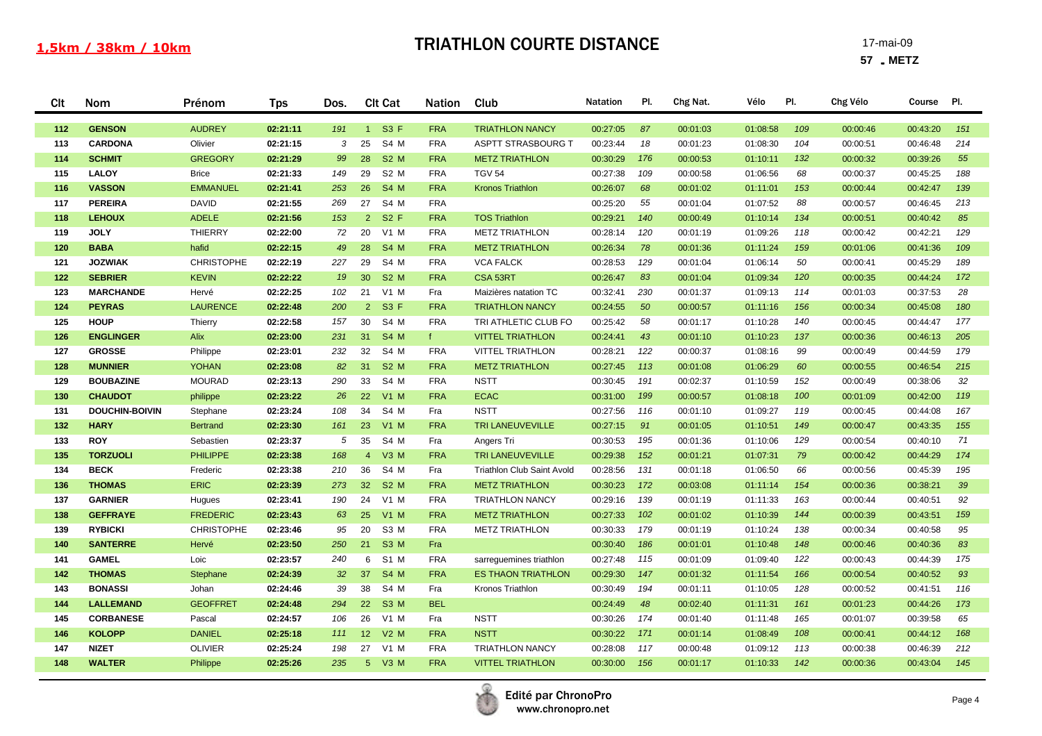| Clt        | Nom                             | Prénom            | <b>Tps</b>           | Dos.      | <b>Clt Cat</b>                        | <b>Nation</b>            | Club                       | <b>Natation</b>      | PI.        | Chg Nat.             | Vélo                 | PI.        | Chg Vélo             | Course               | PI.      |
|------------|---------------------------------|-------------------|----------------------|-----------|---------------------------------------|--------------------------|----------------------------|----------------------|------------|----------------------|----------------------|------------|----------------------|----------------------|----------|
| 112        | <b>GENSON</b>                   | <b>AUDREY</b>     | 02:21:11             | 191       | S3 F<br>$1 -$                         | <b>FRA</b>               | <b>TRIATHLON NANCY</b>     | 00:27:05             | 87         | 00:01:03             | 01:08:58             | 109        | 00:00:46             | 00:43:20             | 151      |
| 113        | <b>CARDONA</b>                  | Olivier           | 02:21:15             | 3         | S4 M<br>25                            | <b>FRA</b>               | <b>ASPTT STRASBOURG T</b>  | 00:23:44             | 18         | 00:01:23             | 01:08:30             | 104        | 00:00:51             | 00:46:48             | 214      |
| 114        | <b>SCHMIT</b>                   | <b>GREGORY</b>    | 02:21:29             | 99        | <b>S2 M</b><br>28                     | <b>FRA</b>               | <b>METZ TRIATHLON</b>      | 00:30:29             | 176        | 00:00:53             | 01:10:11             | 132        | 00:00:32             | 00:39:26             | 55       |
| 115        | <b>LALOY</b>                    | <b>Brice</b>      | 02:21:33             | 149       | 29<br>S <sub>2</sub> M                | <b>FRA</b>               | <b>TGV 54</b>              | 00:27:38             | 109        | 00:00:58             | 01:06:56             | 68         | 00:00:37             | 00:45:25             | 188      |
| 116        | <b>VASSON</b>                   | <b>EMMANUEL</b>   | 02:21:41             | 253       | <b>S4 M</b><br>26                     | <b>FRA</b>               | <b>Kronos Triathlon</b>    | 00:26:07             | 68         | 00:01:02             | 01:11:01             | 153        | 00:00:44             | 00:42:47             | 139      |
| 117        | <b>PEREIRA</b>                  | <b>DAVID</b>      | 02:21:55             | 269       | S4 M<br>27                            | <b>FRA</b>               |                            | 00:25:20             | 55         | 00:01:04             | 01:07:52             | 88         | 00:00:57             | 00:46:45             | 213      |
| 118        | <b>LEHOUX</b>                   | <b>ADELE</b>      | 02:21:56             | 153       | S2F<br>$2^{\circ}$                    | <b>FRA</b>               | <b>TOS Triathlon</b>       | 00:29:21             | 140        | 00:00:49             | 01:10:14             | 134        | 00:00:51             | 00:40:42             | 85       |
| 119        | <b>JOLY</b>                     | THIERRY           | 02:22:00             | 72        | $V1$ M<br>20                          | <b>FRA</b>               | <b>METZ TRIATHLON</b>      | 00:28:14             | 120        | 00:01:19             | 01:09:26             | 118        | 00:00:42             | 00:42:21             | 129      |
| 120        | <b>BABA</b>                     | hafid             | 02:22:15             | 49        | 28<br>S4 M                            | <b>FRA</b>               | <b>METZ TRIATHLON</b>      | 00:26:34             | 78         | 00:01:36             | 01:11:24             | 159        | 00:01:06             | 00:41:36             | 109      |
| 121        | <b>JOZWIAK</b>                  | <b>CHRISTOPHE</b> | 02:22:19             | 227       | S4 M<br>29                            | <b>FRA</b>               | <b>VCA FALCK</b>           | 00:28:53             | 129        | 00:01:04             | 01:06:14             | 50         | 00:00:41             | 00:45:29             | 189      |
| 122        | <b>SEBRIER</b>                  | <b>KEVIN</b>      | 02:22:22             | 19        | 30 <sup>°</sup><br>S <sub>2</sub> M   | <b>FRA</b>               | CSA 53RT                   | 00:26:47             | 83         | 00:01:04             | 01:09:34             | 120        | 00:00:35             | 00:44:24             | 172      |
| 123        | <b>MARCHANDE</b>                | Hervé             | 02:22:25             | 102       | 21<br>$V1$ M                          | Fra                      | Maizières natation TC      | 00:32:41             | 230        | 00:01:37             | 01:09:13             | 114        | 00:01:03             | 00:37:53             | 28       |
| 124        | <b>PEYRAS</b>                   | <b>LAURENCE</b>   | 02:22:48             | 200       | $2^{\circ}$<br>S3 F                   | <b>FRA</b>               | <b>TRIATHLON NANCY</b>     | 00:24:55             | 50         | 00:00:57             | 01:11:16             | 156        | 00:00:34             | 00:45:08             | 180      |
| 125        | <b>HOUP</b>                     | Thierry           | 02:22:58             | 157       | 30<br>S4 M                            | <b>FRA</b>               | TRI ATHLETIC CLUB FO       | 00:25:42             | 58         | 00:01:17             | 01:10:28             | 140        | 00:00:45             | 00:44:47             | 177      |
| 126        | <b>ENGLINGER</b>                | Alix              | 02:23:00             | 231       | S4 M<br>31                            | f.                       | <b>VITTEL TRIATHLON</b>    | 00:24:41             | 43         | 00:01:10             | 01:10:23             | 137        | 00:00:36             | 00:46:13             | 205      |
| 127        | <b>GROSSE</b>                   | Philippe          | 02:23:01             | 232       | 32<br>S4 M                            | <b>FRA</b>               | <b>VITTEL TRIATHLON</b>    | 00:28:21             | 122        | 00:00:37             | 01:08:16             | 99         | 00:00:49             | 00:44:59             | 179      |
| 128        | <b>MUNNIER</b>                  | <b>YOHAN</b>      | 02:23:08             | 82        | 31<br><b>S2 M</b>                     | <b>FRA</b>               | <b>METZ TRIATHLON</b>      | 00:27:45             | 113        | 00:01:08             | 01:06:29             | 60         | 00:00:55             | 00:46:54             | 215      |
| 129        | <b>BOUBAZINE</b>                | <b>MOURAD</b>     | 02:23:13             | 290       | S4 M<br>33                            | <b>FRA</b>               | <b>NSTT</b>                | 00:30:45             | 191        | 00:02:37             | 01:10:59             | 152        | 00:00:49             | 00:38:06             | 32       |
| 130        | <b>CHAUDOT</b>                  | philippe          | 02:23:22             | 26        | 22<br><b>V1 M</b>                     | <b>FRA</b>               | <b>ECAC</b>                | 00:31:00             | 199        | 00:00:57             | 01:08:18             | 100        | 00:01:09             | 00:42:00             | 119      |
| 131        | <b>DOUCHIN-BOIVIN</b>           | Stephane          | 02:23:24             | 108       | S4 M<br>34                            | Fra                      | <b>NSTT</b>                | 00:27:56             | 116        | 00:01:10             | 01:09:27             | 119        | 00:00:45             | 00:44:08             | 167      |
| 132        | <b>HARY</b>                     | <b>Bertrand</b>   | 02:23:30             | 161       | 23<br><b>V1 M</b>                     | <b>FRA</b>               | TRI LANEUVEVILLE           | 00:27:15             | 91         | 00:01:05             | 01:10:51             | 149        | 00:00:47             | 00:43:35             | 155      |
| 133        | <b>ROY</b>                      | Sebastien         | 02:23:37             | 5         | 35<br>S4 M                            | Fra                      | Angers Tri                 | 00:30:53             | 195        | 00:01:36             | 01:10:06             | 129        | 00:00:54             | 00:40:10             | 71       |
| 135        | <b>TORZUOLI</b>                 | <b>PHILIPPE</b>   | 02:23:38             | 168       | $\overline{4}$<br>$V3$ M              | <b>FRA</b>               | TRI LANEUVEVILLE           | 00:29:38             | 152        | 00:01:21             | 01:07:31             | 79         | 00:00:42             | 00:44:29             | 174      |
| 134        | <b>BECK</b>                     | Frederic          | 02:23:38             | 210       | 36<br>S4 M                            | Fra                      | Triathlon Club Saint Avold | 00:28:56             | 131        | 00:01:18             | 01:06:50             | 66         | 00:00:56             | 00:45:39             | 195      |
| 136        | <b>THOMAS</b>                   | <b>ERIC</b>       | 02:23:39             | 273       | <b>S2 M</b><br>32 <sup>°</sup>        | <b>FRA</b>               | <b>METZ TRIATHLON</b>      | 00:30:23             | 172        | 00:03:08             | 01:11:14             | 154        | 00:00:36             | 00:38:21             | 39       |
| 137        | <b>GARNIER</b>                  | Hugues            | 02:23:41             | 190       | V1 M<br>24                            | <b>FRA</b>               | <b>TRIATHLON NANCY</b>     | 00:29:16             | 139        | 00:01:19             | 01:11:33             | 163        | 00:00:44             | 00:40:51             | 92       |
| 138        | <b>GEFFRAYE</b>                 | <b>FREDERIC</b>   | 02:23:43             | 63        | 25<br><b>V1 M</b><br>S <sub>3</sub> M | <b>FRA</b><br><b>FRA</b> | <b>METZ TRIATHLON</b>      | 00:27:33             | 102<br>179 | 00:01:02             | 01:10:39             | 144        | 00:00:39             | 00:43:51             | 159      |
| 139<br>140 | <b>RYBICKI</b>                  | <b>CHRISTOPHE</b> | 02:23:46             | 95<br>250 | 20<br>S3 M                            |                          | <b>METZ TRIATHLON</b>      | 00:30:33             | 186        | 00:01:19             | 01:10:24             | 138<br>148 | 00:00:34             | 00:40:58             | 95<br>83 |
| 141        | <b>SANTERRE</b><br><b>GAMEL</b> | Hervé<br>Loic     | 02:23:50<br>02:23:57 | 240       | 21<br>S1 M<br>6                       | Fra<br><b>FRA</b>        | sarreguemines triathlon    | 00:30:40<br>00:27:48 | 115        | 00:01:01<br>00:01:09 | 01:10:48<br>01:09:40 | 122        | 00:00:46<br>00:00:43 | 00:40:36<br>00:44:39 | 175      |
| 142        | <b>THOMAS</b>                   | Stephane          | 02:24:39             | 32        | 37<br><b>S4 M</b>                     | <b>FRA</b>               | <b>ES THAON TRIATHLON</b>  | 00:29:30             | 147        | 00:01:32             | 01:11:54             | 166        | 00:00:54             | 00:40:52             | 93       |
| 143        | <b>BONASSI</b>                  | Johan             | 02:24:46             | 39        | 38<br>S4 M                            | Fra                      | Kronos Triathlon           | 00:30:49             | 194        | 00:01:11             | 01:10:05             | 128        | 00:00:52             | 00:41:51             | 116      |
| 144        | <b>LALLEMAND</b>                | <b>GEOFFRET</b>   | 02:24:48             | 294       | 22<br><b>S3 M</b>                     | <b>BEL</b>               |                            | 00:24:49             | 48         | 00:02:40             | 01:11:31             | 161        | 00:01:23             | 00:44:26             | 173      |
| 145        | <b>CORBANESE</b>                | Pascal            | 02:24:57             | 106       | 26<br>$V1$ M                          | Fra                      | <b>NSTT</b>                | 00:30:26             | 174        | 00:01:40             | 01:11:48             | 165        | 00:01:07             | 00:39:58             | 65       |
| 146        | <b>KOLOPP</b>                   | <b>DANIEL</b>     | 02:25:18             | 111       | 12<br>$V2$ M                          | <b>FRA</b>               | <b>NSTT</b>                | 00:30:22             | 171        | 00:01:14             | 01:08:49             | 108        | 00:00:41             | 00:44:12             | 168      |
| 147        | <b>NIZET</b>                    | <b>OLIVIER</b>    | 02:25:24             | 198       | 27<br>V1 M                            | <b>FRA</b>               | <b>TRIATHLON NANCY</b>     | 00:28:08             | 117        | 00:00:48             | 01:09:12             | 113        | 00:00:38             | 00:46:39             | 212      |
| 148        | <b>WALTER</b>                   | Philippe          | 02:25:26             | 235       | 5 V3 M                                | <b>FRA</b>               | <b>VITTEL TRIATHLON</b>    | 00:30:00             | 156        | 00:01:17             | 01:10:33             | 142        | 00:00:36             | 00:43:04             | 145      |
|            |                                 |                   |                      |           |                                       |                          |                            |                      |            |                      |                      |            |                      |                      |          |

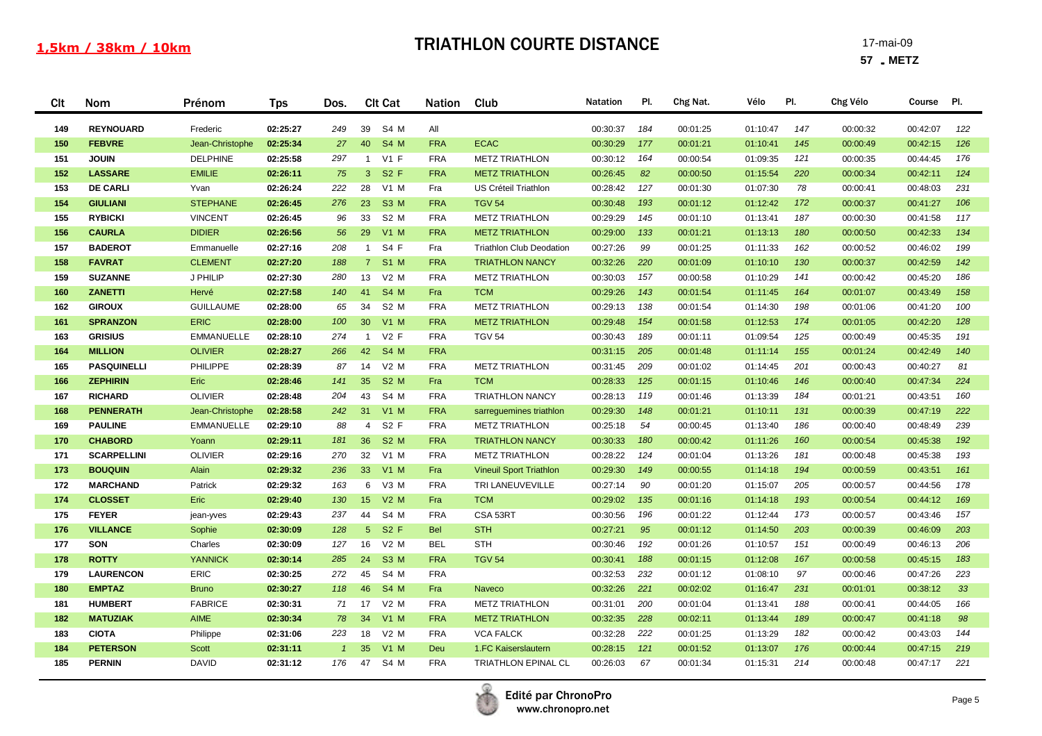| Clt | Nom                | Prénom            | <b>Tps</b> | Dos.           | <b>Clt Cat</b>                | <b>Nation</b> | Club                            | <b>Natation</b> | PI. | Chg Nat. | Vélo     | PI. | Chg Vélo | Course   | PI. |
|-----|--------------------|-------------------|------------|----------------|-------------------------------|---------------|---------------------------------|-----------------|-----|----------|----------|-----|----------|----------|-----|
| 149 | <b>REYNOUARD</b>   | Frederic          | 02:25:27   | 249            | S4 M<br>39                    | All           |                                 | 00:30:37        | 184 | 00:01:25 | 01:10:47 | 147 | 00:00:32 | 00:42:07 | 122 |
| 150 | <b>FEBVRE</b>      | Jean-Christophe   | 02:25:34   | 27             | 40<br>S4 M                    | <b>FRA</b>    | <b>ECAC</b>                     | 00:30:29        | 177 | 00:01:21 | 01:10:41 | 145 | 00:00:49 | 00:42:15 | 126 |
| 151 | <b>JOUIN</b>       | <b>DELPHINE</b>   | 02:25:58   | 297            | $V1$ F<br>$\mathbf{1}$        | <b>FRA</b>    | <b>METZ TRIATHLON</b>           | 00:30:12        | 164 | 00:00:54 | 01:09:35 | 121 | 00:00:35 | 00:44:45 | 176 |
| 152 | <b>LASSARE</b>     | <b>EMILIE</b>     | 02:26:11   | 75             | $\mathbf{3}$<br><b>S2 F</b>   | <b>FRA</b>    | <b>METZ TRIATHLON</b>           | 00:26:45        | 82  | 00:00:50 | 01:15:54 | 220 | 00:00:34 | 00:42:11 | 124 |
| 153 | <b>DE CARLI</b>    | Yvan              | 02:26:24   | 222            | 28<br>$V1$ M                  | Fra           | US Créteil Triathlon            | 00:28:42        | 127 | 00:01:30 | 01:07:30 | 78  | 00:00:41 | 00:48:03 | 231 |
| 154 | <b>GIULIANI</b>    | <b>STEPHANE</b>   | 02:26:45   | 276            | 23<br><b>S3 M</b>             | <b>FRA</b>    | <b>TGV 54</b>                   | 00:30:48        | 193 | 00:01:12 | 01:12:42 | 172 | 00:00:37 | 00:41:27 | 106 |
| 155 | <b>RYBICKI</b>     | <b>VINCENT</b>    | 02:26:45   | 96             | 33<br>S <sub>2</sub> M        | <b>FRA</b>    | <b>METZ TRIATHLON</b>           | 00:29:29        | 145 | 00:01:10 | 01:13:41 | 187 | 00:00:30 | 00:41:58 | 117 |
| 156 | <b>CAURLA</b>      | <b>DIDIER</b>     | 02:26:56   | 56             | $V1$ M<br>29                  | <b>FRA</b>    | <b>METZ TRIATHLON</b>           | 00:29:00        | 133 | 00:01:21 | 01:13:13 | 180 | 00:00:50 | 00:42:33 | 134 |
| 157 | <b>BADEROT</b>     | Emmanuelle        | 02:27:16   | 208            | S4 F<br>$\mathbf{1}$          | Fra           | <b>Triathlon Club Deodation</b> | 00:27:26        | 99  | 00:01:25 | 01:11:33 | 162 | 00:00:52 | 00:46:02 | 199 |
| 158 | <b>FAVRAT</b>      | <b>CLEMENT</b>    | 02:27:20   | 188            | $7^{\circ}$<br><b>S1 M</b>    | <b>FRA</b>    | <b>TRIATHLON NANCY</b>          | 00:32:26        | 220 | 00:01:09 | 01:10:10 | 130 | 00:00:37 | 00:42:59 | 142 |
| 159 | <b>SUZANNE</b>     | J PHILIP          | 02:27:30   | 280            | 13<br>V2 M                    | <b>FRA</b>    | <b>METZ TRIATHLON</b>           | 00:30:03        | 157 | 00:00:58 | 01:10:29 | 141 | 00:00:42 | 00:45:20 | 186 |
| 160 | <b>ZANETTI</b>     | Hervé             | 02:27:58   | 140            | 41<br><b>S4 M</b>             | Fra           | <b>TCM</b>                      | 00:29:26        | 143 | 00:01:54 | 01:11:45 | 164 | 00:01:07 | 00:43:49 | 158 |
| 162 | <b>GIROUX</b>      | <b>GUILLAUME</b>  | 02:28:00   | 65             | S <sub>2</sub> M<br>34        | <b>FRA</b>    | <b>METZ TRIATHLON</b>           | 00:29:13        | 138 | 00:01:54 | 01:14:30 | 198 | 00:01:06 | 00:41:20 | 100 |
| 161 | <b>SPRANZON</b>    | <b>ERIC</b>       | 02:28:00   | 100            | 30 <sup>°</sup><br>$V1$ M     | <b>FRA</b>    | <b>METZ TRIATHLON</b>           | 00:29:48        | 154 | 00:01:58 | 01:12:53 | 174 | 00:01:05 | 00:42:20 | 128 |
| 163 | <b>GRISIUS</b>     | <b>EMMANUELLE</b> | 02:28:10   | 274            | V2F<br>$\overline{1}$         | <b>FRA</b>    | <b>TGV 54</b>                   | 00:30:43        | 189 | 00:01:11 | 01:09:54 | 125 | 00:00:49 | 00:45:35 | 191 |
| 164 | <b>MILLION</b>     | <b>OLIVIER</b>    | 02:28:27   | 266            | 42<br>S4 M                    | <b>FRA</b>    |                                 | 00:31:15        | 205 | 00:01:48 | 01:11:14 | 155 | 00:01:24 | 00:42:49 | 140 |
| 165 | <b>PASQUINELLI</b> | PHILIPPE          | 02:28:39   | 87             | $V2$ M<br>14                  | <b>FRA</b>    | <b>METZ TRIATHLON</b>           | 00:31:45        | 209 | 00:01:02 | 01:14:45 | 201 | 00:00:43 | 00:40:27 | 81  |
| 166 | <b>ZEPHIRIN</b>    | Eric              | 02:28:46   | 141            | 35<br><b>S2 M</b>             | Fra           | <b>TCM</b>                      | 00:28:33        | 125 | 00:01:15 | 01:10:46 | 146 | 00:00:40 | 00:47:34 | 224 |
| 167 | <b>RICHARD</b>     | <b>OLIVIER</b>    | 02:28:48   | 204            | S4 M<br>43                    | <b>FRA</b>    | <b>TRIATHLON NANCY</b>          | 00:28:13        | 119 | 00:01:46 | 01:13:39 | 184 | 00:01:21 | 00:43:51 | 160 |
| 168 | <b>PENNERATH</b>   | Jean-Christophe   | 02:28:58   | 242            | 31<br>$V1$ M                  | <b>FRA</b>    | sarreguemines triathlon         | 00:29:30        | 148 | 00:01:21 | 01:10:11 | 131 | 00:00:39 | 00:47:19 | 222 |
| 169 | <b>PAULINE</b>     | EMMANUELLE        | 02:29:10   | 88             | S2 F<br>$\overline{4}$        | <b>FRA</b>    | <b>METZ TRIATHLON</b>           | 00:25:18        | 54  | 00:00:45 | 01:13:40 | 186 | 00:00:40 | 00:48:49 | 239 |
| 170 | <b>CHABORD</b>     | Yoann             | 02:29:11   | 181            | 36<br><b>S2 M</b>             | <b>FRA</b>    | <b>TRIATHLON NANCY</b>          | 00:30:33        | 180 | 00:00:42 | 01:11:26 | 160 | 00:00:54 | 00:45:38 | 192 |
| 171 | <b>SCARPELLINI</b> | <b>OLIVIER</b>    | 02:29:16   | 270            | 32<br>$V1$ M                  | <b>FRA</b>    | <b>METZ TRIATHLON</b>           | 00:28:22        | 124 | 00:01:04 | 01:13:26 | 181 | 00:00:48 | 00:45:38 | 193 |
| 173 | <b>BOUQUIN</b>     | Alain             | 02:29:32   | 236            | 33<br><b>V1 M</b>             | Fra           | <b>Vineuil Sport Triathlon</b>  | 00:29:30        | 149 | 00:00:55 | 01:14:18 | 194 | 00:00:59 | 00:43:51 | 161 |
| 172 | <b>MARCHAND</b>    | Patrick           | 02:29:32   | 163            | 6<br>V3 M                     | <b>FRA</b>    | TRI LANEUVEVILLE                | 00:27:14        | 90  | 00:01:20 | 01:15:07 | 205 | 00:00:57 | 00:44:56 | 178 |
| 174 | <b>CLOSSET</b>     | Eric              | 02:29:40   | 130            | 15<br>$V2$ M                  | Fra           | <b>TCM</b>                      | 00:29:02        | 135 | 00:01:16 | 01:14:18 | 193 | 00:00:54 | 00:44:12 | 169 |
| 175 | <b>FEYER</b>       | jean-yves         | 02:29:43   | 237            | S4 M<br>44                    | <b>FRA</b>    | CSA 53RT                        | 00:30:56        | 196 | 00:01:22 | 01:12:44 | 173 | 00:00:57 | 00:43:46 | 157 |
| 176 | <b>VILLANCE</b>    | Sophie            | 02:30:09   | 128            | <b>S2 F</b><br>5 <sup>5</sup> | <b>Bel</b>    | <b>STH</b>                      | 00:27:21        | 95  | 00:01:12 | 01:14:50 | 203 | 00:00:39 | 00:46:09 | 203 |
| 177 | SON                | Charles           | 02:30:09   | 127            | $V2$ M<br>16                  | <b>BEL</b>    | <b>STH</b>                      | 00:30:46        | 192 | 00:01:26 | 01:10:57 | 151 | 00:00:49 | 00:46:13 | 206 |
| 178 | <b>ROTTY</b>       | <b>YANNICK</b>    | 02:30:14   | 285            | S3 M<br>24                    | <b>FRA</b>    | <b>TGV 54</b>                   | 00:30:41        | 188 | 00:01:15 | 01:12:08 | 167 | 00:00:58 | 00:45:15 | 183 |
| 179 | <b>LAURENCON</b>   | <b>ERIC</b>       | 02:30:25   | 272            | 45<br>S4 M                    | <b>FRA</b>    |                                 | 00:32:53        | 232 | 00:01:12 | 01:08:10 | 97  | 00:00:46 | 00:47:26 | 223 |
| 180 | <b>EMPTAZ</b>      | <b>Bruno</b>      | 02:30:27   | 118            | 46<br><b>S4 M</b>             | Fra           | Naveco                          | 00:32:26        | 221 | 00:02:02 | 01:16:47 | 231 | 00:01:01 | 00:38:12 | 33  |
| 181 | <b>HUMBERT</b>     | <b>FABRICE</b>    | 02:30:31   | 71             | 17<br>$V2$ M                  | <b>FRA</b>    | <b>METZ TRIATHLON</b>           | 00:31:01        | 200 | 00:01:04 | 01:13:41 | 188 | 00:00:41 | 00:44:05 | 166 |
| 182 | <b>MATUZIAK</b>    | AIME              | 02:30:34   | 78             | 34<br>$V1$ M                  | <b>FRA</b>    | <b>METZ TRIATHLON</b>           | 00:32:35        | 228 | 00:02:11 | 01:13:44 | 189 | 00:00:47 | 00:41:18 | 98  |
| 183 | <b>CIOTA</b>       | Philippe          | 02:31:06   | 223            | 18<br>V2 M                    | <b>FRA</b>    | <b>VCA FALCK</b>                | 00:32:28        | 222 | 00:01:25 | 01:13:29 | 182 | 00:00:42 | 00:43:03 | 144 |
| 184 | <b>PETERSON</b>    | Scott             | 02:31:11   | $\overline{1}$ | 35<br><b>V1 M</b>             | Deu           | 1.FC Kaiserslautern             | 00:28:15        | 121 | 00:01:52 | 01:13:07 | 176 | 00:00:44 | 00:47:15 | 219 |
| 185 | <b>PERNIN</b>      | <b>DAVID</b>      | 02:31:12   | 176            | 47<br>S4 M                    | <b>FRA</b>    | <b>TRIATHLON EPINAL CL</b>      | 00:26:03        | 67  | 00:01:34 | 01:15:31 | 214 | 00:00:48 | 00:47:17 | 221 |

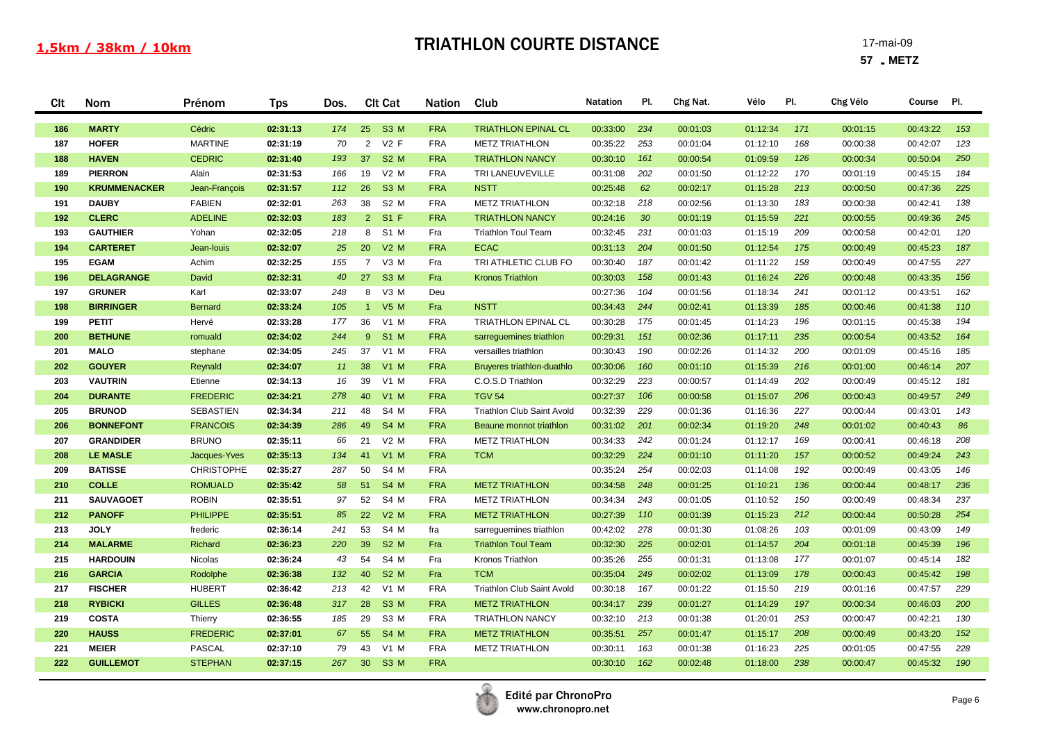| Clt        | Nom                            | Prénom                         | <b>Tps</b>           | Dos.     | <b>Clt Cat</b>                 | <b>Nation</b>            | Club                                           | <b>Natation</b>      | PI.             | Chg Nat.             | Vélo                 | PI.        | Chg Vélo             | Course               | PI.        |
|------------|--------------------------------|--------------------------------|----------------------|----------|--------------------------------|--------------------------|------------------------------------------------|----------------------|-----------------|----------------------|----------------------|------------|----------------------|----------------------|------------|
| 186        | <b>MARTY</b>                   | Cédric                         | 02:31:13             | 174      | S3 M<br>25                     | <b>FRA</b>               | <b>TRIATHLON EPINAL CL</b>                     | 00:33:00             | 234             | 00:01:03             | 01:12:34             | 171        | 00:01:15             | 00:43:22             | 153        |
| 187        | <b>HOFER</b>                   | <b>MARTINE</b>                 | 02:31:19             | 70       | $V2$ F<br>2                    | <b>FRA</b>               | <b>METZ TRIATHLON</b>                          | 00:35:22             | 253             | 00:01:04             | 01:12:10             | 168        | 00:00:38             | 00:42:07             | 123        |
| 188        | <b>HAVEN</b>                   | <b>CEDRIC</b>                  | 02:31:40             | 193      | <b>S2 M</b><br>37              | <b>FRA</b>               | <b>TRIATHLON NANCY</b>                         | 00:30:10             | 161             | 00:00:54             | 01:09:59             | 126        | 00:00:34             | 00:50:04             | 250        |
| 189        | <b>PIERRON</b>                 | Alain                          | 02:31:53             | 166      | $V2$ M<br>19                   | <b>FRA</b>               | TRI LANEUVEVILLE                               | 00:31:08             | 202             | 00:01:50             | 01:12:22             | 170        | 00:01:19             | 00:45:15             | 184        |
| 190        | <b>KRUMMENACKER</b>            | Jean-François                  | 02:31:57             | 112      | 26<br><b>S3 M</b>              | <b>FRA</b>               | <b>NSTT</b>                                    | 00:25:48             | 62              | 00:02:17             | 01:15:28             | 213        | 00:00:50             | 00:47:36             | 225        |
| 191        | <b>DAUBY</b>                   | <b>FABIEN</b>                  | 02:32:01             | 263      | 38<br>S <sub>2</sub> M         | <b>FRA</b>               | <b>METZ TRIATHLON</b>                          | 00:32:18             | 218             | 00:02:56             | 01:13:30             | 183        | 00:00:38             | 00:42:41             | 138        |
| 192        | <b>CLERC</b>                   | <b>ADELINE</b>                 | 02:32:03             | 183      | $2^{\circ}$<br>$S1$ F          | <b>FRA</b>               | <b>TRIATHLON NANCY</b>                         | 00:24:16             | 30 <sup>°</sup> | 00:01:19             | 01:15:59             | 221        | 00:00:55             | 00:49:36             | 245        |
| 193        | <b>GAUTHIER</b>                | Yohan                          | 02:32:05             | 218      | S <sub>1</sub> M<br>8          | Fra                      | <b>Triathlon Toul Team</b>                     | 00:32:45             | 231             | 00:01:03             | 01:15:19             | 209        | 00:00:58             | 00:42:01             | 120        |
| 194        | <b>CARTERET</b>                | Jean-louis                     | 02:32:07             | 25       | 20<br>$V2$ M                   | <b>FRA</b>               | <b>ECAC</b>                                    | 00:31:13             | 204             | 00:01:50             | 01:12:54             | 175        | 00:00:49             | 00:45:23             | 187        |
| 195        | <b>EGAM</b>                    | Achim                          | 02:32:25             | 155      | $\overline{7}$<br>V3 M         | Fra                      | TRI ATHLETIC CLUB FO                           | 00:30:40             | 187             | 00:01:42             | 01:11:22             | 158        | 00:00:49             | 00:47:55             | 227        |
| 196        | <b>DELAGRANGE</b>              | David                          | 02:32:31             | 40       | 27<br>S <sub>3</sub> M         | Fra                      | <b>Kronos Triathlon</b>                        | 00:30:03             | 158             | 00:01:43             | 01:16:24             | 226        | 00:00:48             | 00:43:35             | 156        |
| 197        | <b>GRUNER</b>                  | Karl                           | 02:33:07             | 248      | 8<br>V3 M                      | Deu                      |                                                | 00:27:36             | 104             | 00:01:56             | 01:18:34             | 241        | 00:01:12             | 00:43:51             | 162        |
| 198        | <b>BIRRINGER</b>               | <b>Bernard</b>                 | 02:33:24             | 105      | <b>V5 M</b><br>$\sim$ 1        | Fra                      | <b>NSTT</b>                                    | 00:34:43             | 244             | 00:02:41             | 01:13:39             | 185        | 00:00:46             | 00:41:38             | 110        |
| 199        | <b>PETIT</b>                   | Hervé                          | 02:33:28             | 177      | 36<br>V1 M                     | <b>FRA</b>               | <b>TRIATHLON EPINAL CL</b>                     | 00:30:28             | 175             | 00:01:45             | 01:14:23             | 196        | 00:01:15             | 00:45:38             | 194        |
| 200        | <b>BETHUNE</b>                 | romuald                        | 02:34:02             | 244      | <b>S1 M</b><br>$9^{\circ}$     | <b>FRA</b>               | sarreguemines triathlon                        | 00:29:31             | 151             | 00:02:36             | 01:17:11             | 235        | 00:00:54             | 00:43:52             | 164        |
| 201        | <b>MALO</b>                    | stephane                       | 02:34:05             | 245      | 37<br>$V1$ M                   | <b>FRA</b>               | versailles triathlon                           | 00:30:43             | 190             | 00:02:26             | 01:14:32             | 200        | 00:01:09             | 00:45:16             | 185        |
| 202        | <b>GOUYER</b>                  | Reynald                        | 02:34:07             | 11       | 38<br>$V1$ M                   | <b>FRA</b>               | Bruyeres triathlon-duathlo                     | 00:30:06             | 160             | 00:01:10             | 01:15:39             | 216        | 00:01:00             | 00:46:14             | 207        |
| 203        | <b>VAUTRIN</b>                 | Etienne                        | 02:34:13             | 16       | 39<br>$V1$ M                   | <b>FRA</b>               | C.O.S.D Triathlon                              | 00:32:29             | 223             | 00:00:57             | 01:14:49             | 202        | 00:00:49             | 00:45:12             | 181        |
| 204        | <b>DURANTE</b>                 | <b>FREDERIC</b>                | 02:34:21             | 278      | $V1$ M<br>40                   | <b>FRA</b>               | <b>TGV 54</b>                                  | 00:27:37             | 106             | 00:00:58             | 01:15:07             | 206        | 00:00:43             | 00:49:57             | 249        |
| 205        | <b>BRUNOD</b>                  | <b>SEBASTIEN</b>               | 02:34:34             | 211      | S4 M<br>48                     | <b>FRA</b>               | Triathlon Club Saint Avold                     | 00:32:39             | 229             | 00:01:36             | 01:16:36             | 227        | 00:00:44             | 00:43:01             | 143        |
| 206        | <b>BONNEFONT</b>               | <b>FRANCOIS</b>                | 02:34:39             | 286      | <b>S4 M</b><br>49              | <b>FRA</b>               | Beaune monnot triathlon                        | 00:31:02             | 201             | 00:02:34             | 01:19:20             | 248        | 00:01:02             | 00:40:43             | 86         |
| 207        | <b>GRANDIDER</b>               | <b>BRUNO</b>                   | 02:35:11             | 66       | $V2$ M<br>21                   | <b>FRA</b>               | <b>METZ TRIATHLON</b>                          | 00:34:33             | 242             | 00:01:24             | 01:12:17             | 169        | 00:00:41             | 00:46:18             | 208        |
| 208        | <b>LE MASLE</b>                | Jacques-Yves                   | 02:35:13             | 134      | $V1$ M<br>41                   | <b>FRA</b>               | <b>TCM</b>                                     | 00:32:29             | 224             | 00:01:10             | 01:11:20             | 157        | 00:00:52             | 00:49:24             | 243        |
| 209<br>210 | <b>BATISSE</b><br><b>COLLE</b> | <b>CHRISTOPHE</b>              | 02:35:27             | 287      | 50<br>S4 M<br><b>S4 M</b>      | <b>FRA</b>               |                                                | 00:35:24             | 254<br>248      | 00:02:03             | 01:14:08             | 192        | 00:00:49             | 00:43:05             | 146<br>236 |
| 211        | <b>SAUVAGOET</b>               | <b>ROMUALD</b><br><b>ROBIN</b> | 02:35:42<br>02:35:51 | 58<br>97 | 51<br>52<br>S4 M               | <b>FRA</b><br><b>FRA</b> | <b>METZ TRIATHLON</b><br><b>METZ TRIATHLON</b> | 00:34:58             | 243             | 00:01:25             | 01:10:21<br>01:10:52 | 136<br>150 | 00:00:44             | 00:48:17<br>00:48:34 | 237        |
| 212        | <b>PANOFF</b>                  | <b>PHILIPPE</b>                | 02:35:51             | 85       | <b>V2 M</b><br>22              | <b>FRA</b>               | <b>METZ TRIATHLON</b>                          | 00:34:34<br>00:27:39 | 110             | 00:01:05<br>00:01:39 | 01:15:23             | 212        | 00:00:49<br>00:00:44 | 00:50:28             | 254        |
| 213        | <b>JOLY</b>                    | frederic                       | 02:36:14             | 241      | 53<br>S4 M                     | fra                      | sarreguemines triathlon                        | 00:42:02             | 278             | 00:01:30             | 01:08:26             | 103        | 00:01:09             | 00:43:09             | 149        |
| 214        | <b>MALARME</b>                 | Richard                        | 02:36:23             | 220      | <b>S2 M</b><br>39              | Fra                      | <b>Triathlon Toul Team</b>                     | 00:32:30             | 225             | 00:02:01             | 01:14:57             | 204        | 00:01:18             | 00:45:39             | 196        |
| 215        | <b>HARDOUIN</b>                | Nicolas                        | 02:36:24             | 43       | S4 M<br>54                     | Fra                      | Kronos Triathlon                               | 00:35:26             | 255             | 00:01:31             | 01:13:08             | 177        | 00:01:07             | 00:45:14             | 182        |
| 216        | <b>GARCIA</b>                  | Rodolphe                       | 02:36:38             | 132      | <b>S2 M</b><br>40              | Fra                      | <b>TCM</b>                                     | 00:35:04             | 249             | 00:02:02             | 01:13:09             | 178        | 00:00:43             | 00:45:42             | 198        |
| 217        | <b>FISCHER</b>                 | <b>HUBERT</b>                  | 02:36:42             | 213      | 42<br>$V1$ M                   | <b>FRA</b>               | <b>Triathlon Club Saint Avold</b>              | 00:30:18             | 167             | 00:01:22             | 01:15:50             | 219        | 00:01:16             | 00:47:57             | 229        |
| 218        | <b>RYBICKI</b>                 | <b>GILLES</b>                  | 02:36:48             | 317      | 28<br>S3 M                     | <b>FRA</b>               | <b>METZ TRIATHLON</b>                          | 00:34:17             | 239             | 00:01:27             | 01:14:29             | 197        | 00:00:34             | 00:46:03             | 200        |
| 219        | <b>COSTA</b>                   | Thierry                        | 02:36:55             | 185      | S3 M<br>29                     | <b>FRA</b>               | <b>TRIATHLON NANCY</b>                         | 00:32:10             | 213             | 00:01:38             | 01:20:01             | 253        | 00:00:47             | 00:42:21             | 130        |
| 220        | <b>HAUSS</b>                   | <b>FREDERIC</b>                | 02:37:01             | 67       | 55<br>S4 M                     | <b>FRA</b>               | <b>METZ TRIATHLON</b>                          | 00:35:51             | 257             | 00:01:47             | 01:15:17             | 208        | 00:00:49             | 00:43:20             | 152        |
| 221        | <b>MEIER</b>                   | <b>PASCAL</b>                  | 02:37:10             | 79       | 43<br>$V1$ M                   | <b>FRA</b>               | <b>METZ TRIATHLON</b>                          | 00:30:11             | 163             | 00:01:38             | 01:16:23             | 225        | 00:01:05             | 00:47:55             | 228        |
| 222        | <b>GUILLEMOT</b>               | <b>STEPHAN</b>                 | 02:37:15             | 267      | 30 <sup>°</sup><br><b>S3 M</b> | <b>FRA</b>               |                                                | 00:30:10             | 162             | 00:02:48             | 01:18:00             | 238        | 00:00:47             | 00:45:32             | 190        |
|            |                                |                                |                      |          |                                |                          |                                                |                      |                 |                      |                      |            |                      |                      |            |

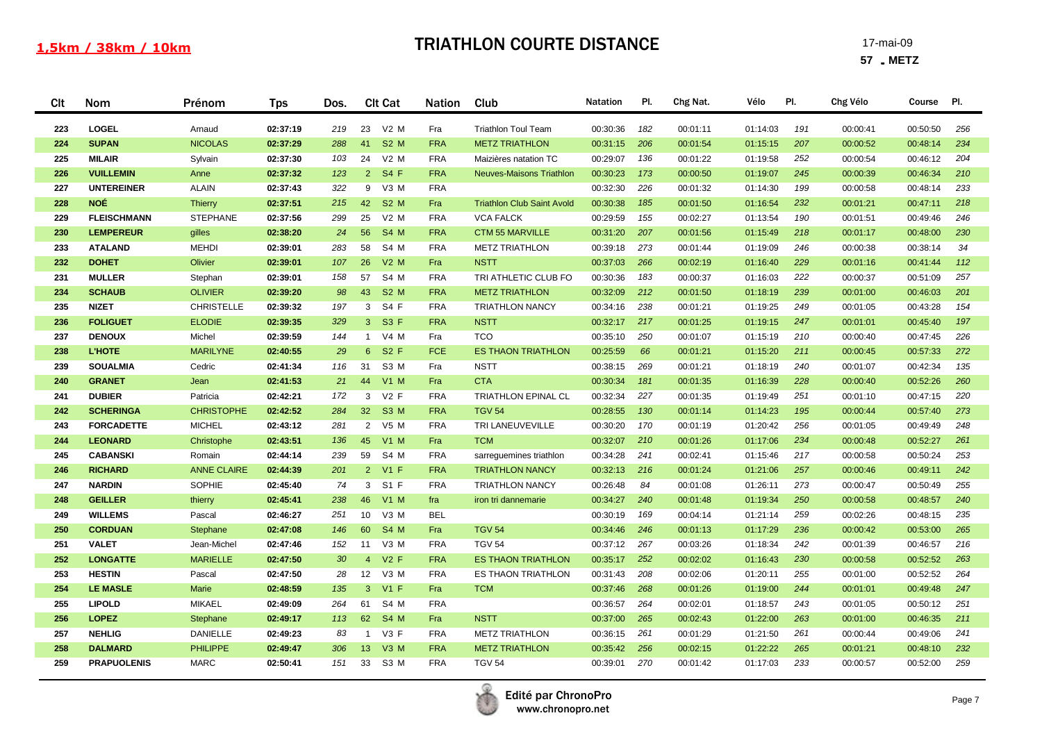| <b>CIt</b> | Nom                             | Prénom                         | <b>Tps</b>           | Dos.     | <b>Clt Cat</b>                   | <b>Nation</b>            | Club                                                   | <b>Natation</b>      | PI.        | Chg Nat.             | Vélo                 | PI.        | Chg Vélo             | Course               | PI.        |
|------------|---------------------------------|--------------------------------|----------------------|----------|----------------------------------|--------------------------|--------------------------------------------------------|----------------------|------------|----------------------|----------------------|------------|----------------------|----------------------|------------|
| 223        | LOGEL                           | Arnaud                         | 02:37:19             | 219      | 23<br>$V2$ M                     | Fra                      | <b>Triathlon Toul Team</b>                             | 00:30:36             | 182        | 00:01:11             | 01:14:03             | 191        | 00:00:41             | 00:50:50             | 256        |
| 224        | <b>SUPAN</b>                    | <b>NICOLAS</b>                 | 02:37:29             | 288      | <b>S2 M</b><br>41                | <b>FRA</b>               | <b>METZ TRIATHLON</b>                                  | 00:31:15             | 206        | 00:01:54             | 01:15:15             | 207        | 00:00:52             | 00:48:14             | 234        |
| 225        | <b>MILAIR</b>                   | Sylvain                        | 02:37:30             | 103      | $V2$ M<br>24                     | <b>FRA</b>               | Maizières natation TC                                  | 00:29:07             | 136        | 00:01:22             | 01:19:58             | 252        | 00:00:54             | 00:46:12             | 204        |
| 226        | <b>VUILLEMIN</b>                | Anne                           | 02:37:32             | 123      | <b>S4 F</b><br>$\overline{2}$    | <b>FRA</b>               | <b>Neuves-Maisons Triathlon</b>                        | 00:30:23             | 173        | 00:00:50             | 01:19:07             | 245        | 00:00:39             | 00:46:34             | 210        |
| 227        | <b>UNTEREINER</b>               | <b>ALAIN</b>                   | 02:37:43             | 322      | V3 M<br>9                        | <b>FRA</b>               |                                                        | 00:32:30             | 226        | 00:01:32             | 01:14:30             | 199        | 00:00:58             | 00:48:14             | 233        |
| 228        | <b>NOÉ</b>                      | <b>Thierry</b>                 | 02:37:51             | 215      | 42<br><b>S2 M</b>                | Fra                      | <b>Triathlon Club Saint Avold</b>                      | 00:30:38             | 185        | 00:01:50             | 01:16:54             | 232        | 00:01:21             | 00:47:11             | 218        |
| 229        | <b>FLEISCHMANN</b>              | <b>STEPHANE</b>                | 02:37:56             | 299      | $V2$ M<br>25                     | <b>FRA</b>               | <b>VCA FALCK</b>                                       | 00:29:59             | 155        | 00:02:27             | 01:13:54             | 190        | 00:01:51             | 00:49:46             | 246        |
| 230        | <b>LEMPEREUR</b>                | gilles                         | 02:38:20             | 24       | <b>S4 M</b><br>56                | <b>FRA</b>               | <b>CTM 55 MARVILLE</b>                                 | 00:31:20             | 207        | 00:01:56             | 01:15:49             | 218        | 00:01:17             | 00:48:00             | 230        |
| 233        | <b>ATALAND</b>                  | <b>MEHDI</b>                   | 02:39:01             | 283      | S4 M<br>58                       | <b>FRA</b>               | <b>METZ TRIATHLON</b>                                  | 00:39:18             | 273        | 00:01:44             | 01:19:09             | 246        | 00:00:38             | 00:38:14             | 34         |
| 232        | <b>DOHET</b>                    | Olivier                        | 02:39:01             | 107      | $V2$ M<br>26                     | Fra                      | <b>NSTT</b>                                            | 00:37:03             | 266        | 00:02:19             | 01:16:40             | 229        | 00:01:16             | 00:41:44             | 112        |
| 231        | <b>MULLER</b>                   | Stephan                        | 02:39:01             | 158      | S4 M<br>57                       | <b>FRA</b>               | TRI ATHLETIC CLUB FO                                   | 00:30:36             | 183        | 00:00:37             | 01:16:03             | 222        | 00:00:37             | 00:51:09             | 257        |
| 234        | <b>SCHAUB</b>                   | <b>OLIVIER</b>                 | 02:39:20             | 98       | 43<br><b>S2 M</b>                | <b>FRA</b>               | <b>METZ TRIATHLON</b>                                  | 00:32:09             | 212        | 00:01:50             | 01:18:19             | 239        | 00:01:00             | 00:46:03             | 201        |
| 235        | <b>NIZET</b>                    | <b>CHRISTELLE</b>              | 02:39:32             | 197      | 3 S4 F                           | <b>FRA</b>               | <b>TRIATHLON NANCY</b>                                 | 00:34:16             | 238        | 00:01:21             | 01:19:25             | 249        | 00:01:05             | 00:43:28             | 154        |
| 236        | <b>FOLIGUET</b>                 | <b>ELODIE</b>                  | 02:39:35             | 329      | 3 S3 F                           | <b>FRA</b>               | <b>NSTT</b>                                            | 00:32:17             | 217        | 00:01:25             | 01:19:15             | 247        | 00:01:01             | 00:45:40             | 197        |
| 237        | <b>DENOUX</b>                   | Michel                         | 02:39:59             | 144      | V4 M<br>$\mathbf{1}$             | Fra                      | <b>TCO</b>                                             | 00:35:10             | 250        | 00:01:07             | 01:15:19             | 210        | 00:00:40             | 00:47:45             | 226        |
| 238        | <b>L'HOTE</b>                   | <b>MARILYNE</b>                | 02:40:55             | 29       | <b>S2 F</b><br>$6^{\circ}$       | <b>FCE</b>               | <b>ES THAON TRIATHLON</b>                              | 00:25:59             | 66         | 00:01:21             | 01:15:20             | 211        | 00:00:45             | 00:57:33             | 272        |
| 239        | <b>SOUALMIA</b>                 | Cedric                         | 02:41:34             | 116      | 31<br>S <sub>3</sub> M           | Fra                      | <b>NSTT</b>                                            | 00:38:15             | 269        | 00:01:21             | 01:18:19             | 240        | 00:01:07             | 00:42:34             | 135        |
| 240        | <b>GRANET</b>                   | Jean                           | 02:41:53             | 21       | 44<br>$V1$ M                     | Fra                      | <b>CTA</b>                                             | 00:30:34             | 181        | 00:01:35             | 01:16:39             | 228        | 00:00:40             | 00:52:26             | 260        |
| 241        | <b>DUBIER</b>                   | Patricia                       | 02:42:21             | 172      | $V2$ F<br>3                      | <b>FRA</b>               | <b>TRIATHLON EPINAL CL</b>                             | 00:32:34             | 227        | 00:01:35             | 01:19:49             | 251        | 00:01:10             | 00:47:15             | 220        |
| 242        | <b>SCHERINGA</b>                | <b>CHRISTOPHE</b>              | 02:42:52             | 284      | 32 <sup>2</sup><br><b>S3 M</b>   | <b>FRA</b>               | <b>TGV 54</b>                                          | 00:28:55             | 130        | 00:01:14             | 01:14:23             | 195        | 00:00:44             | 00:57:40             | 273        |
| 243        | <b>FORCADETTE</b>               | <b>MICHEL</b>                  | 02:43:12             | 281      | 2 V5 M                           | <b>FRA</b>               | TRI LANEUVEVILLE                                       | 00:30:20             | 170        | 00:01:19             | 01:20:42             | 256        | 00:01:05             | 00:49:49             | 248        |
| 244        | <b>LEONARD</b>                  | Christophe                     | 02:43:51             | 136      | 45<br><b>V1 M</b>                | Fra                      | <b>TCM</b>                                             | 00:32:07             | 210        | 00:01:26             | 01:17:06             | 234        | 00:00:48             | 00:52:27             | 261        |
| 245        | <b>CABANSKI</b>                 | Romain                         | 02:44:14             | 239      | 59<br>S4 M                       | <b>FRA</b>               | sarreguemines triathlon                                | 00:34:28             | 241        | 00:02:41             | 01:15:46             | 217        | 00:00:58             | 00:50:24             | 253        |
| 246        | <b>RICHARD</b>                  | <b>ANNE CLAIRE</b>             | 02:44:39             | 201      | 2 V1 F                           | <b>FRA</b>               | <b>TRIATHLON NANCY</b>                                 | 00:32:13             | 216        | 00:01:24             | 01:21:06             | 257        | 00:00:46             | 00:49:11             | 242        |
| 247        | <b>NARDIN</b>                   | SOPHIE                         | 02:45:40             | 74       | 3 S1 F                           | <b>FRA</b>               | <b>TRIATHLON NANCY</b>                                 | 00:26:48             | 84         | 00:01:08             | 01:26:11             | 273        | 00:00:47             | 00:50:49             | 255        |
| 248        | <b>GEILLER</b>                  | thierry                        | 02:45:41             | 238      | 46<br><b>V1 M</b>                | fra                      | iron tri dannemarie                                    | 00:34:27             | 240        | 00:01:48             | 01:19:34             | 250        | 00:00:58             | 00:48:57             | 240        |
| 249        | <b>WILLEMS</b>                  | Pascal                         | 02:46:27             | 251      | V3 M<br>10                       | <b>BEL</b>               |                                                        | 00:30:19             | 169        | 00:04:14             | 01:21:14             | 259        | 00:02:26             | 00:48:15             | 235        |
| 250        | <b>CORDUAN</b>                  | Stephane                       | 02:47:08             | 146      | S4 M<br>60                       | Fra                      | <b>TGV 54</b>                                          | 00:34:46             | 246        | 00:01:13             | 01:17:29             | 236        | 00:00:42             | 00:53:00             | 265        |
| 251<br>252 | <b>VALET</b><br><b>LONGATTE</b> | Jean-Michel<br><b>MARIELLE</b> | 02:47:46             | 152      | V3 M<br>11<br>$V2$ F             | <b>FRA</b><br><b>FRA</b> | <b>TGV 54</b>                                          | 00:37:12             | 267<br>252 | 00:03:26             | 01:18:34             | 242<br>230 | 00:01:39             | 00:46:57             | 216<br>263 |
| 253        | <b>HESTIN</b>                   | Pascal                         | 02:47:50<br>02:47:50 | 30<br>28 | $\overline{4}$<br>12<br>V3 M     | <b>FRA</b>               | <b>ES THAON TRIATHLON</b><br><b>ES THAON TRIATHLON</b> | 00:35:17<br>00:31:43 | 208        | 00:02:02<br>00:02:06 | 01:16:43<br>01:20:11 | 255        | 00:00:58             | 00:52:52<br>00:52:52 | 264        |
| 254        | <b>LE MASLE</b>                 | Marie                          | 02:48:59             | 135      | $\mathbf{3}$<br>$V1$ F           | Fra                      | <b>TCM</b>                                             | 00:37:46             | 268        | 00:01:26             | 01:19:00             | 244        | 00:01:00             | 00:49:48             | 247        |
| 255        | <b>LIPOLD</b>                   | <b>MIKAEL</b>                  | 02:49:09             | 264      | S4 M<br>61                       | <b>FRA</b>               |                                                        | 00:36:57             | 264        | 00:02:01             | 01:18:57             | 243        | 00:01:01<br>00:01:05 | 00:50:12             | 251        |
| 256        | <b>LOPEZ</b>                    | Stephane                       | 02:49:17             | 113      | 62<br><b>S4 M</b>                | Fra                      | <b>NSTT</b>                                            | 00:37:00             | 265        | 00:02:43             | 01:22:00             | 263        | 00:01:00             | 00:46:35             | 211        |
| 257        | <b>NEHLIG</b>                   | <b>DANIELLE</b>                | 02:49:23             | 83       | V <sub>3</sub> F<br>$\mathbf{1}$ | <b>FRA</b>               | <b>METZ TRIATHLON</b>                                  | 00:36:15             | 261        | 00:01:29             | 01:21:50             | 261        | 00:00:44             | 00:49:06             | 241        |
| 258        | <b>DALMARD</b>                  | <b>PHILIPPE</b>                | 02:49:47             | 306      | 13<br>$V3$ M                     | <b>FRA</b>               | <b>METZ TRIATHLON</b>                                  | 00:35:42             | 256        | 00:02:15             | 01:22:22             | 265        | 00:01:21             | 00:48:10             | 232        |
| 259        | <b>PRAPUOLENIS</b>              | <b>MARC</b>                    | 02:50:41             | 151      | S <sub>3</sub> M<br>33           | <b>FRA</b>               | <b>TGV 54</b>                                          | 00:39:01             | 270        | 00:01:42             | 01:17:03             | 233        | 00:00:57             | 00:52:00             | 259        |
|            |                                 |                                |                      |          |                                  |                          |                                                        |                      |            |                      |                      |            |                      |                      |            |